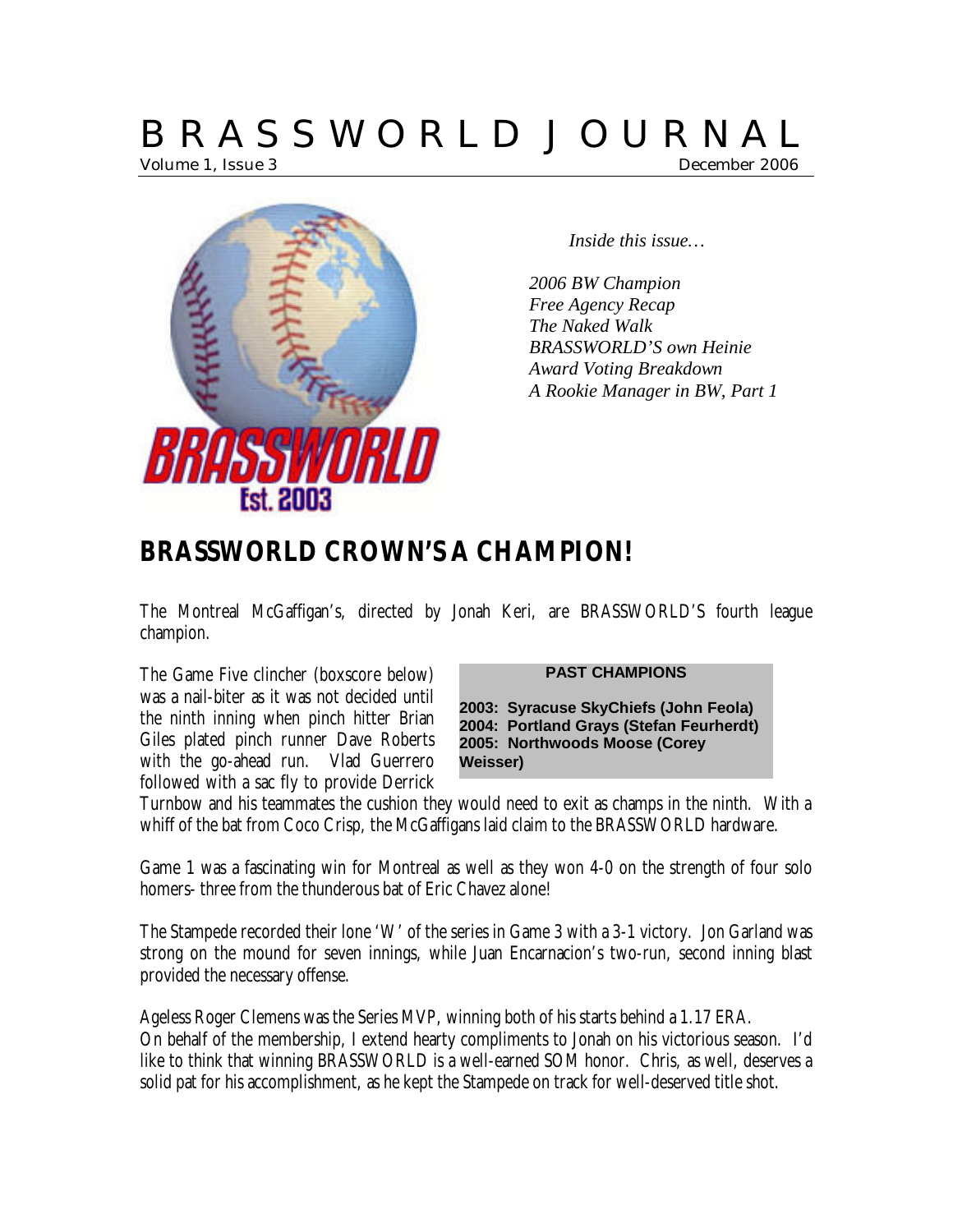# B R A S S W O R L D J O U R N A L Volume 1, Issue 3 December 2006



*Inside this issue…*

*2006 BW Champion Free Agency Recap The Naked Walk BRASSWORLD'S own Heinie Award Voting Breakdown A Rookie Manager in BW, Part 1*

# **BRASSWORLD CROWN'S A CHAMPION!**

The Montreal McGaffigan's, directed by Jonah Keri, are BRASSWORLD'S fourth league champion.

The Game Five clincher (boxscore below) was a nail-biter as it was not decided until the ninth inning when pinch hitter Brian Giles plated pinch runner Dave Roberts with the go-ahead run. Vlad Guerrero followed with a sac fly to provide Derrick

#### **PAST CHAMPIONS**

**2003: Syracuse SkyChiefs (John Feola) 2004: Portland Grays (Stefan Feurherdt) 2005: Northwoods Moose (Corey Weisser)**

Turnbow and his teammates the cushion they would need to exit as champs in the ninth. With a whiff of the bat from Coco Crisp, the McGaffigans laid claim to the BRASSWORLD hardware.

Game 1 was a fascinating win for Montreal as well as they won 4-0 on the strength of four solo homers- three from the thunderous bat of Eric Chavez alone!

The Stampede recorded their lone 'W' of the series in Game 3 with a 3-1 victory. Jon Garland was strong on the mound for seven innings, while Juan Encarnacion's two-run, second inning blast provided the necessary offense.

Ageless Roger Clemens was the Series MVP, winning both of his starts behind a 1.17 ERA. On behalf of the membership, I extend hearty compliments to Jonah on his victorious season. I'd like to think that winning BRASSWORLD is a well-earned SOM honor. Chris, as well, deserves a solid pat for his accomplishment, as he kept the Stampede on track for well-deserved title shot.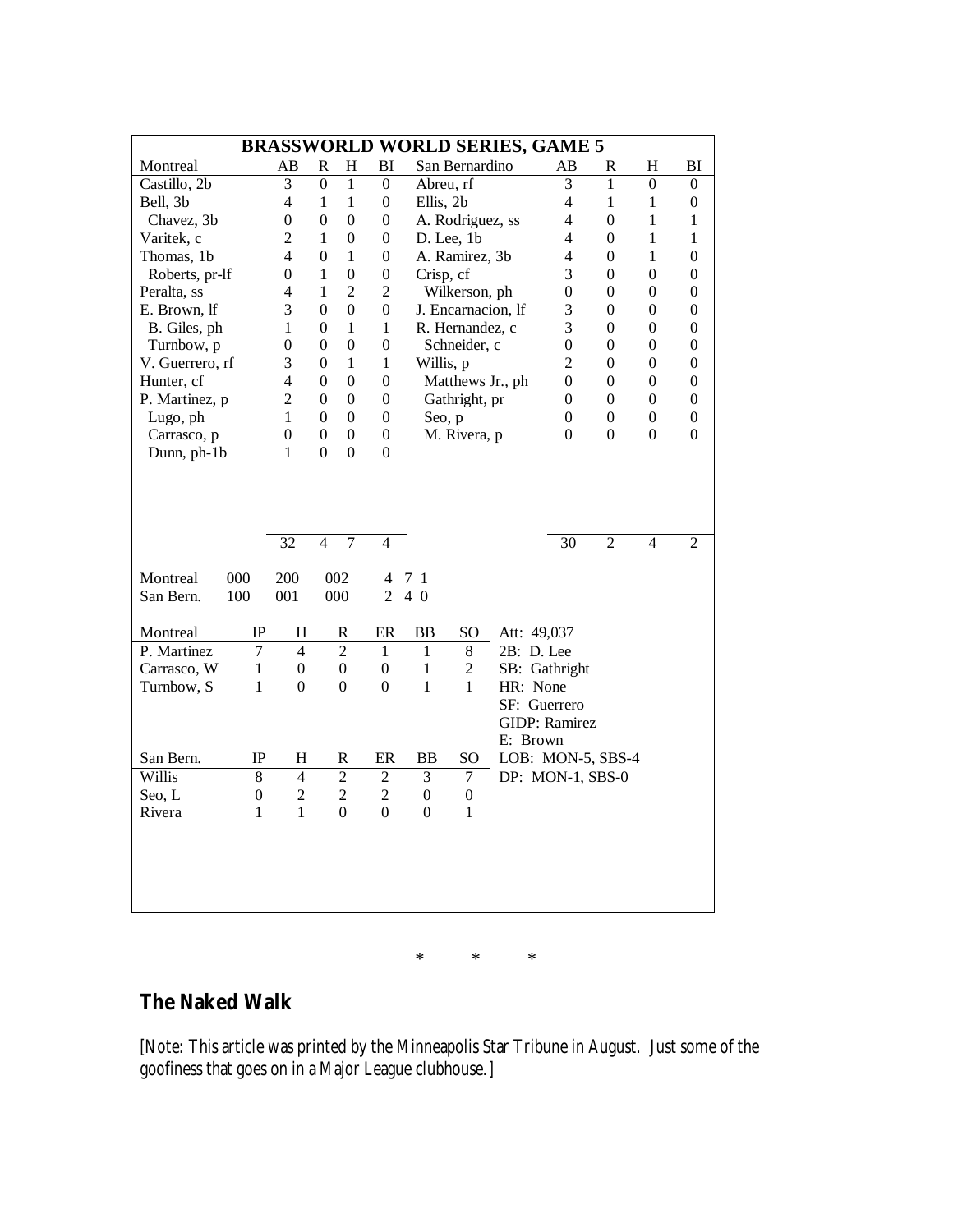| <b>BRASSWORLD WORLD SERIES, GAME 5</b> |                  |                  |                  |                  |                  |                  |                    |              |                   |                  |                  |                  |
|----------------------------------------|------------------|------------------|------------------|------------------|------------------|------------------|--------------------|--------------|-------------------|------------------|------------------|------------------|
| Montreal                               |                  | AВ               | $\mathbb{R}$     | H                | BI               |                  | San Bernardino     |              | AВ                | R                | Η                | BI               |
| Castillo, 2b                           |                  | $\overline{3}$   | $\overline{0}$   | 1                | $\boldsymbol{0}$ | Abreu, rf        |                    |              | 3                 | 1                | $\boldsymbol{0}$ | $\boldsymbol{0}$ |
| Bell, 3b                               |                  | 4                | $\mathbf{1}$     | $\mathbf{1}$     | $\boldsymbol{0}$ | Ellis, 2b        |                    |              | $\overline{4}$    | $\mathbf{1}$     | $\mathbf{1}$     | $\boldsymbol{0}$ |
| Chavez, 3b                             |                  | $\boldsymbol{0}$ | $\boldsymbol{0}$ | $\mathbf{0}$     | $\boldsymbol{0}$ |                  | A. Rodriguez, ss   |              | $\overline{4}$    | $\boldsymbol{0}$ | $\mathbf{1}$     | 1                |
| Varitek, c                             |                  | $\overline{c}$   | $\mathbf{1}$     | $\theta$         | $\boldsymbol{0}$ |                  | D. Lee, 1b         |              | $\overline{4}$    | $\overline{0}$   | $\mathbf{1}$     | $\mathbf{1}$     |
| Thomas, 1b                             |                  | $\overline{4}$   | $\overline{0}$   | $\mathbf{1}$     | $\theta$         |                  | A. Ramirez, 3b     |              | $\overline{4}$    | 0                | $\mathbf{1}$     | $\boldsymbol{0}$ |
| Roberts, pr-lf                         |                  | $\boldsymbol{0}$ | $\mathbf{1}$     | $\theta$         | $\boldsymbol{0}$ | Crisp, cf        |                    |              | 3                 | 0                | $\overline{0}$   | $\boldsymbol{0}$ |
| Peralta, ss                            |                  | 4                | $\mathbf{1}$     | $\overline{2}$   | $\overline{2}$   |                  | Wilkerson, ph      |              | $\mathbf{0}$      | $\overline{0}$   | $\overline{0}$   | $\overline{0}$   |
| E. Brown, If                           |                  | 3                | $\overline{0}$   | $\mathbf{0}$     | $\mathbf{0}$     |                  | J. Encarnacion, lf |              | 3                 | $\overline{0}$   | $\overline{0}$   | $\boldsymbol{0}$ |
| B. Giles, ph                           |                  | 1                | $\overline{0}$   | 1                | 1                |                  | R. Hernandez, c    |              | 3                 | $\overline{0}$   | $\overline{0}$   | $\boldsymbol{0}$ |
| Turnbow, p                             |                  | $\theta$         | $\overline{0}$   | $\overline{0}$   | $\boldsymbol{0}$ |                  | Schneider, c       |              | $\boldsymbol{0}$  | $\overline{0}$   | $\overline{0}$   | $\boldsymbol{0}$ |
| V. Guerrero, rf                        |                  | 3                | $\overline{0}$   | 1                | $\mathbf{1}$     | Willis, p        |                    |              | $\overline{2}$    | $\overline{0}$   | $\overline{0}$   | $\boldsymbol{0}$ |
| Hunter, cf                             |                  | 4                | $\boldsymbol{0}$ | $\overline{0}$   | $\boldsymbol{0}$ |                  | Matthews Jr., ph   |              | $\overline{0}$    | $\overline{0}$   | $\overline{0}$   | $\boldsymbol{0}$ |
| P. Martinez, p                         |                  | $\overline{2}$   | $\theta$         | $\mathbf{0}$     | $\boldsymbol{0}$ |                  | Gathright, pr      |              | $\boldsymbol{0}$  | $\overline{0}$   | $\boldsymbol{0}$ | $\boldsymbol{0}$ |
| Lugo, ph                               |                  | 1                | $\theta$         | $\overline{0}$   | $\boldsymbol{0}$ | Seo, p           |                    |              | $\overline{0}$    | $\overline{0}$   | $\boldsymbol{0}$ | $\boldsymbol{0}$ |
| Carrasco, p                            |                  | $\overline{0}$   | $\boldsymbol{0}$ | $\mathbf{0}$     | $\boldsymbol{0}$ |                  | M. Rivera, p       |              | $\overline{0}$    | $\overline{0}$   | $\boldsymbol{0}$ | $\boldsymbol{0}$ |
| Dunn, ph-1b                            |                  | 1                | $\theta$         | $\mathbf{0}$     | $\theta$         |                  |                    |              |                   |                  |                  |                  |
|                                        |                  |                  | $\overline{4}$   |                  | $\overline{4}$   |                  |                    |              |                   |                  | $\overline{4}$   |                  |
|                                        |                  | 32               |                  | 7                |                  |                  |                    |              | 30                | $\overline{2}$   |                  | 2                |
| Montreal<br>000                        |                  | 200              |                  | 002              | 4                | 7<br>-1          |                    |              |                   |                  |                  |                  |
| 100<br>San Bern.                       |                  | 001              |                  | 000              | 2                | $4\,0$           |                    |              |                   |                  |                  |                  |
|                                        |                  |                  |                  |                  |                  |                  |                    |              |                   |                  |                  |                  |
| Montreal                               | IP               | H                |                  | R                | ER               | BB               | SO                 | Att: 49,037  |                   |                  |                  |                  |
| P. Martinez                            | 7                | $\overline{4}$   |                  | $\overline{2}$   | 1                | 1                | 8                  | 2B: D. Lee   |                   |                  |                  |                  |
| Carrasco, W                            | $\mathbf{1}$     | $\boldsymbol{0}$ |                  | $\boldsymbol{0}$ | $\boldsymbol{0}$ | $\mathbf{1}$     | $\overline{2}$     |              | SB: Gathright     |                  |                  |                  |
| Turnbow, S                             | $\mathbf{1}$     | $\boldsymbol{0}$ |                  | $\boldsymbol{0}$ | $\boldsymbol{0}$ | 1                | $\mathbf{1}$       | HR: None     |                   |                  |                  |                  |
|                                        |                  |                  |                  |                  |                  |                  |                    | SF: Guerrero |                   |                  |                  |                  |
|                                        |                  |                  |                  |                  |                  |                  |                    |              | GIDP: Ramirez     |                  |                  |                  |
|                                        |                  |                  |                  |                  |                  |                  |                    | E: Brown     |                   |                  |                  |                  |
| San Bern.                              | $_{\rm IP}$      | H                |                  | R                | ER               | BB               | SO.                |              | LOB: MON-5, SBS-4 |                  |                  |                  |
| Willis                                 | 8                | $\overline{4}$   |                  | $\overline{2}$   | $\overline{2}$   | 3                | $\overline{7}$     |              | DP: MON-1, SBS-0  |                  |                  |                  |
| Seo, L                                 | $\boldsymbol{0}$ | $\overline{2}$   |                  | $\overline{2}$   | $\overline{2}$   | $\theta$         | $\boldsymbol{0}$   |              |                   |                  |                  |                  |
| Rivera                                 | 1                | $\mathbf{1}$     |                  | $\boldsymbol{0}$ | $\boldsymbol{0}$ | $\boldsymbol{0}$ | 1                  |              |                   |                  |                  |                  |
|                                        |                  |                  |                  |                  |                  |                  |                    |              |                   |                  |                  |                  |
|                                        |                  |                  |                  |                  |                  |                  |                    |              |                   |                  |                  |                  |
|                                        |                  |                  |                  |                  |                  |                  |                    |              |                   |                  |                  |                  |
|                                        |                  |                  |                  |                  |                  |                  |                    |              |                   |                  |                  |                  |
|                                        |                  |                  |                  |                  |                  |                  |                    |              |                   |                  |                  |                  |
|                                        |                  |                  |                  |                  |                  |                  |                    |              |                   |                  |                  |                  |
|                                        |                  |                  |                  |                  |                  | *                | *                  | *            |                   |                  |                  |                  |

## **The Naked Walk**

[Note: This article was printed by the Minneapolis Star Tribune in August. Just some of the goofiness that goes on in a Major League clubhouse.]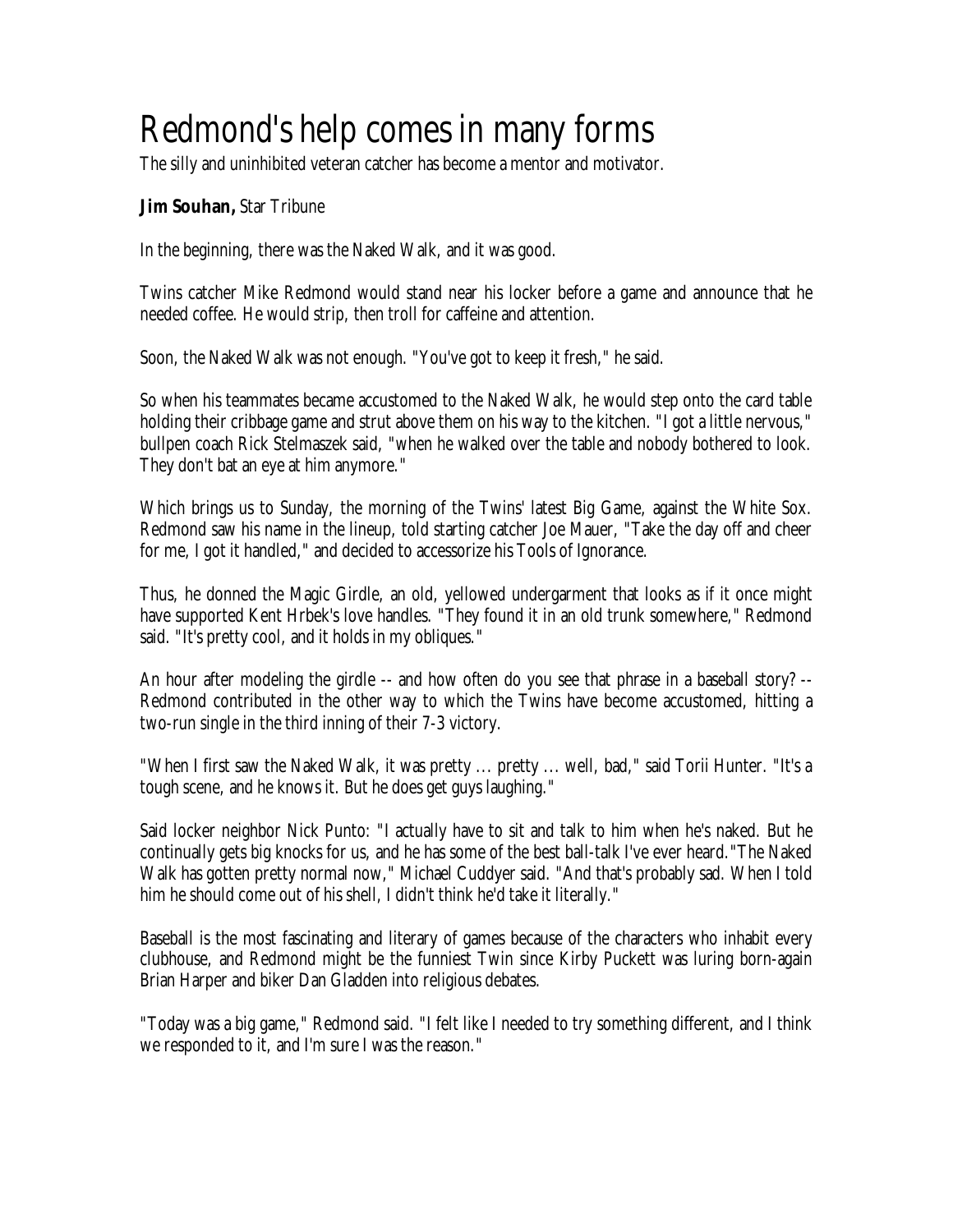# Redmond's help comes in many forms

The silly and uninhibited veteran catcher has become a mentor and motivator.

#### **Jim Souhan,** Star Tribune

In the beginning, there was the Naked Walk, and it was good.

Twins catcher Mike Redmond would stand near his locker before a game and announce that he needed coffee. He would strip, then troll for caffeine and attention.

Soon, the Naked Walk was not enough. "You've got to keep it fresh," he said.

So when his teammates became accustomed to the Naked Walk, he would step onto the card table holding their cribbage game and strut above them on his way to the kitchen. "I got a little nervous," bullpen coach Rick Stelmaszek said, "when he walked over the table and nobody bothered to look. They don't bat an eye at him anymore."

Which brings us to Sunday, the morning of the Twins' latest Big Game, against the White Sox. Redmond saw his name in the lineup, told starting catcher Joe Mauer, "Take the day off and cheer for me, I got it handled," and decided to accessorize his Tools of Ignorance.

Thus, he donned the Magic Girdle, an old, yellowed undergarment that looks as if it once might have supported Kent Hrbek's love handles. "They found it in an old trunk somewhere," Redmond said. "It's pretty cool, and it holds in my obliques."

An hour after modeling the girdle -- and how often do you see that phrase in a baseball story? -- Redmond contributed in the other way to which the Twins have become accustomed, hitting a two-run single in the third inning of their 7-3 victory.

"When I first saw the Naked Walk, it was pretty ... pretty ... well, bad," said Torii Hunter. "It's a tough scene, and he knows it. But he does get guys laughing."

Said locker neighbor Nick Punto: "I actually have to sit and talk to him when he's naked. But he continually gets big knocks for us, and he has some of the best ball-talk I've ever heard."The Naked Walk has gotten pretty normal now," Michael Cuddyer said. "And that's probably sad. When I told him he should come out of his shell, I didn't think he'd take it literally."

Baseball is the most fascinating and literary of games because of the characters who inhabit every clubhouse, and Redmond might be the funniest Twin since Kirby Puckett was luring born-again Brian Harper and biker Dan Gladden into religious debates.

"Today was a big game," Redmond said. "I felt like I needed to try something different, and I think we responded to it, and I'm sure I was the reason."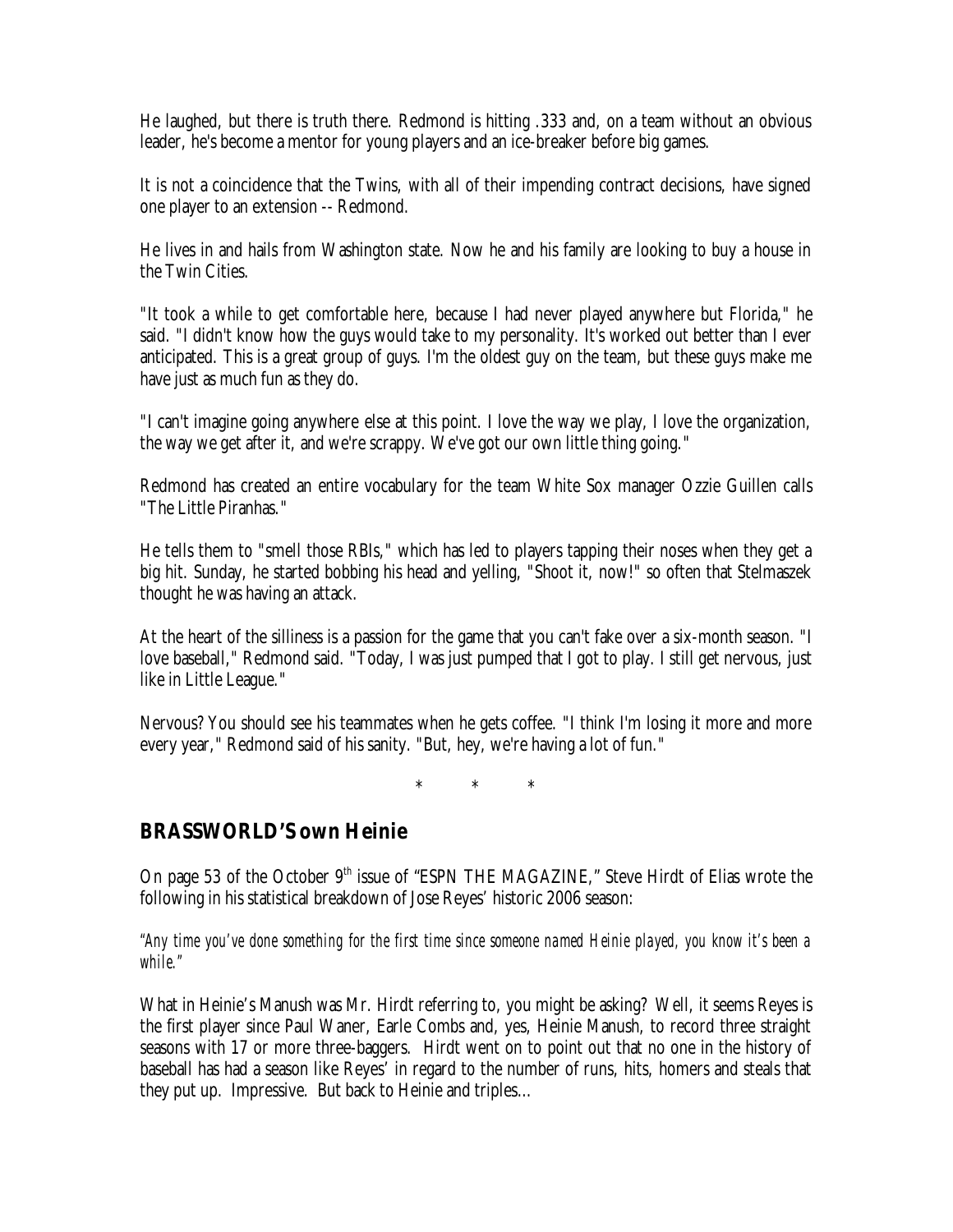He laughed, but there is truth there. Redmond is hitting .333 and, on a team without an obvious leader, he's become a mentor for young players and an ice-breaker before big games.

It is not a coincidence that the Twins, with all of their impending contract decisions, have signed one player to an extension -- Redmond.

He lives in and hails from Washington state. Now he and his family are looking to buy a house in the Twin Cities.

"It took a while to get comfortable here, because I had never played anywhere but Florida," he said. "I didn't know how the guys would take to my personality. It's worked out better than I ever anticipated. This is a great group of guys. I'm the oldest guy on the team, but these guys make me have just as much fun as they do.

"I can't imagine going anywhere else at this point. I love the way we play, I love the organization, the way we get after it, and we're scrappy. We've got our own little thing going."

Redmond has created an entire vocabulary for the team White Sox manager Ozzie Guillen calls "The Little Piranhas."

He tells them to "smell those RBIs," which has led to players tapping their noses when they get a big hit. Sunday, he started bobbing his head and yelling, "Shoot it, now!" so often that Stelmaszek thought he was having an attack.

At the heart of the silliness is a passion for the game that you can't fake over a six-month season. "I love baseball," Redmond said. "Today, I was just pumped that I got to play. I still get nervous, just like in Little League."

Nervous? You should see his teammates when he gets coffee. "I think I'm losing it more and more every year," Redmond said of his sanity. "But, hey, we're having a lot of fun."

\* \* \*

## **BRASSWORLD'S own Heinie**

On page 53 of the October  $9<sup>th</sup>$  issue of "ESPN THE MAGAZINE," Steve Hirdt of Elias wrote the following in his statistical breakdown of Jose Reyes' historic 2006 season:

*"Any time you've done something for the first time since someone named Heinie played, you know it's been a while."*

What in Heinie's Manush was Mr. Hirdt referring to, you might be asking? Well, it seems Reyes is the first player since Paul Waner, Earle Combs and, yes, Heinie Manush, to record three straight seasons with 17 or more three-baggers. Hirdt went on to point out that no one in the history of baseball has had a season like Reyes' in regard to the number of runs, hits, homers and steals that they put up. Impressive. But back to Heinie and triples…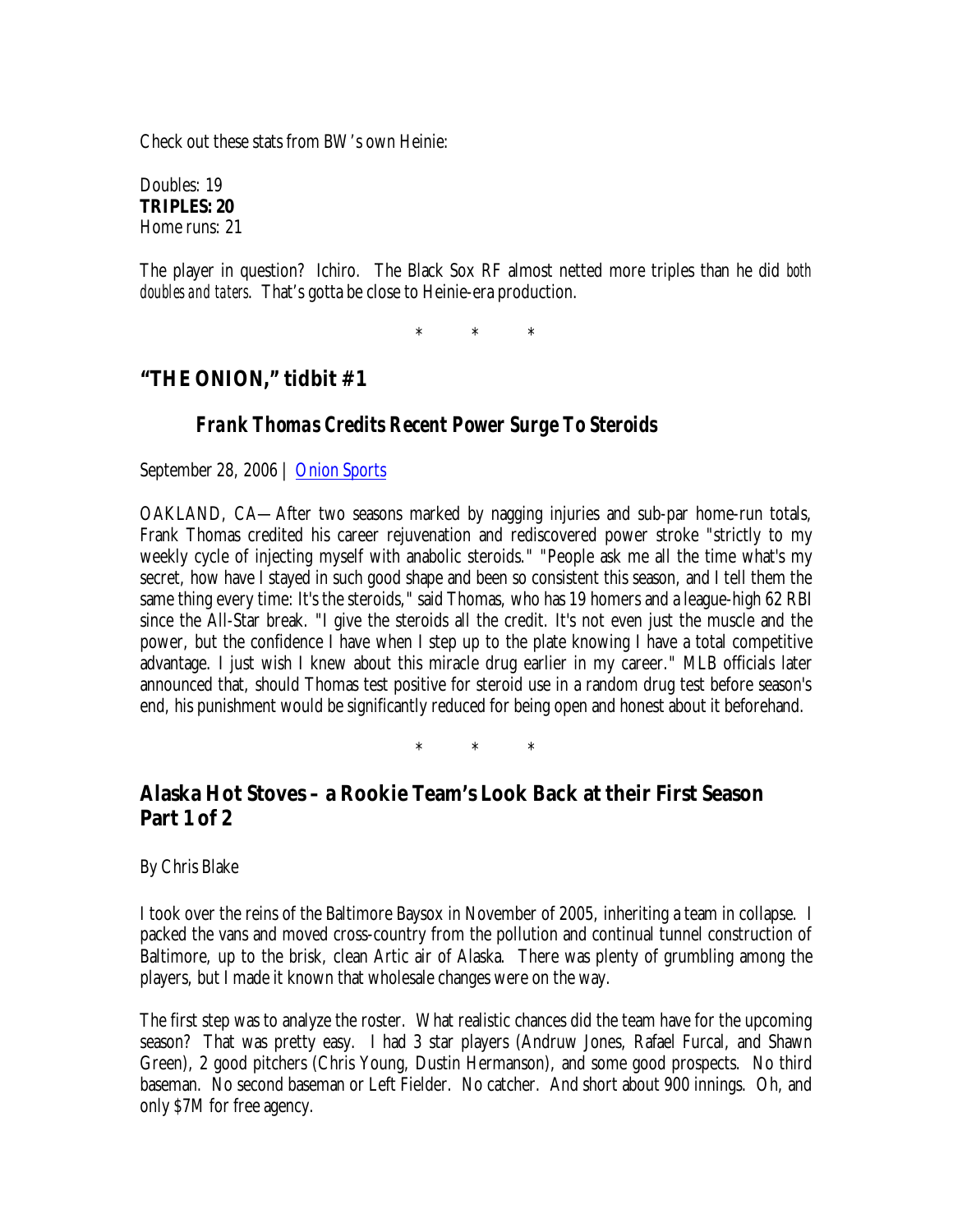Check out these stats from BW's own Heinie:

Doubles: 19 **TRIPLES: 20** Home runs: 21

The player in question? Ichiro. The Black Sox RF almost netted more triples than he did *both doubles and taters*. That's gotta be close to Heinie-era production.

\* \* \*

# **"THE ONION," tidbit #1**

#### *Frank Thomas Credits Recent Power Surge To Steroids*

September 28, 2006 | Onion Sports

OAKLAND, CA— After two seasons marked by nagging injuries and sub-par home-run totals, Frank Thomas credited his career rejuvenation and rediscovered power stroke "strictly to my weekly cycle of injecting myself with anabolic steroids." "People ask me all the time what's my secret, how have I stayed in such good shape and been so consistent this season, and I tell them the same thing every time: It's the steroids," said Thomas, who has 19 homers and a league-high 62 RBI since the All-Star break. "I give the steroids all the credit. It's not even just the muscle and the power, but the confidence I have when I step up to the plate knowing I have a total competitive advantage. I just wish I knew about this miracle drug earlier in my career." MLB officials later announced that, should Thomas test positive for steroid use in a random drug test before season's end, his punishment would be significantly reduced for being open and honest about it beforehand.

\* \* \*

# **Alaska Hot Stoves – a Rookie Team's Look Back at their First Season Part 1 of 2**

By Chris Blake

I took over the reins of the Baltimore Baysox in November of 2005, inheriting a team in collapse. I packed the vans and moved cross-country from the pollution and continual tunnel construction of Baltimore, up to the brisk, clean Artic air of Alaska. There was plenty of grumbling among the players, but I made it known that wholesale changes were on the way.

The first step was to analyze the roster. What realistic chances did the team have for the upcoming season? That was pretty easy. I had 3 star players (Andruw Jones, Rafael Furcal, and Shawn Green), 2 good pitchers (Chris Young, Dustin Hermanson), and some good prospects. No third baseman. No second baseman or Left Fielder. No catcher. And short about 900 innings. Oh, and only \$7M for free agency.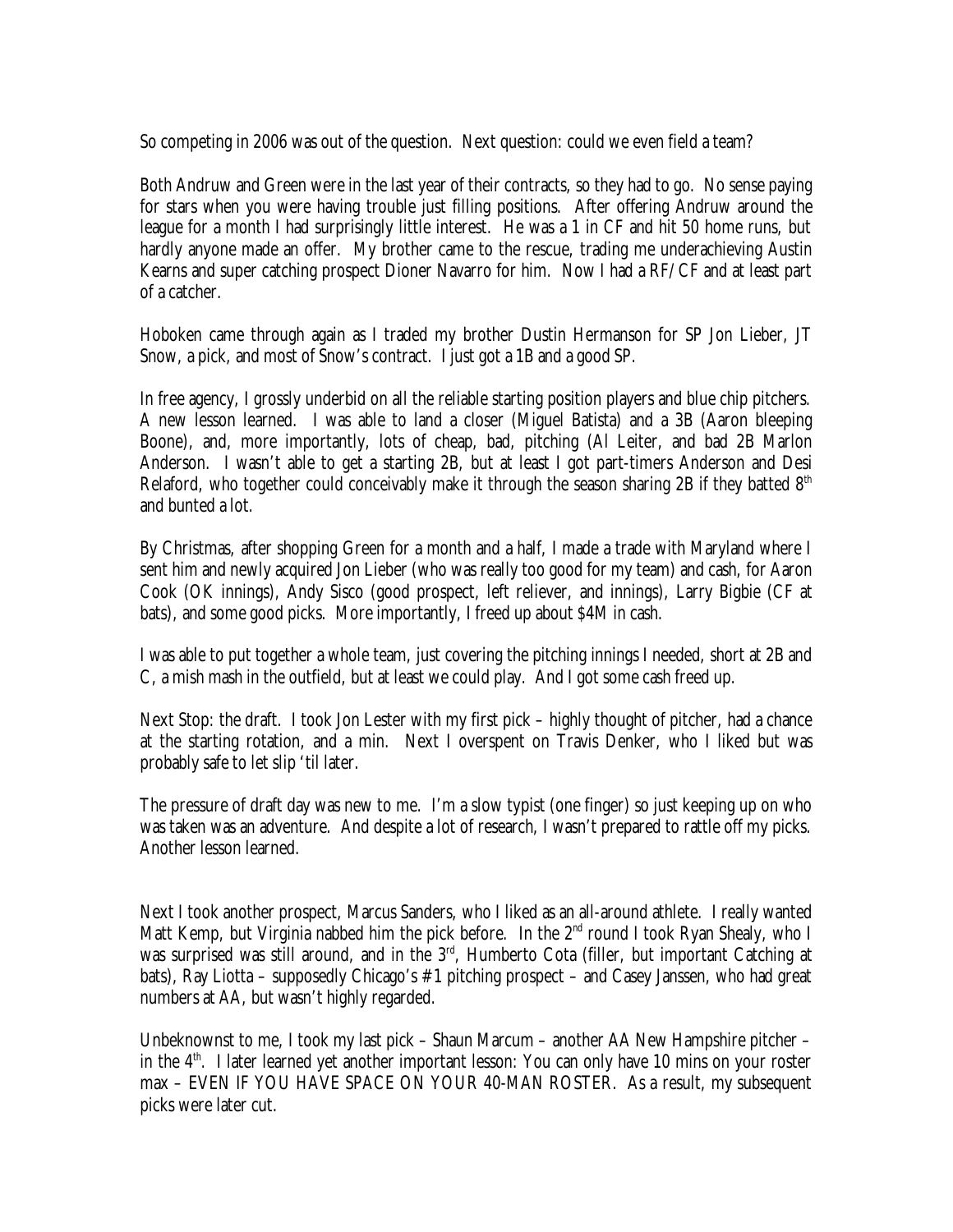So competing in 2006 was out of the question. Next question: could we even field a team?

Both Andruw and Green were in the last year of their contracts, so they had to go. No sense paying for stars when you were having trouble just filling positions. After offering Andruw around the league for a month I had surprisingly little interest. He was a 1 in CF and hit 50 home runs, but hardly anyone made an offer. My brother came to the rescue, trading me underachieving Austin Kearns and super catching prospect Dioner Navarro for him. Now I had a RF/CF and at least part of a catcher.

Hoboken came through again as I traded my brother Dustin Hermanson for SP Jon Lieber, JT Snow, a pick, and most of Snow's contract. I just got a 1B and a good SP.

In free agency, I grossly underbid on all the reliable starting position players and blue chip pitchers. A new lesson learned. I was able to land a closer (Miguel Batista) and a 3B (Aaron bleeping Boone), and, more importantly, lots of cheap, bad, pitching (Al Leiter, and bad 2B Marlon Anderson. I wasn't able to get a starting 2B, but at least I got part-timers Anderson and Desi Relaford, who together could conceivably make it through the season sharing 2B if they batted  $8<sup>th</sup>$ and bunted a lot.

By Christmas, after shopping Green for a month and a half, I made a trade with Maryland where I sent him and newly acquired Jon Lieber (who was really too good for my team) and cash, for Aaron Cook (OK innings), Andy Sisco (good prospect, left reliever, and innings), Larry Bigbie (CF at bats), and some good picks. More importantly, I freed up about \$4M in cash.

I was able to put together a whole team, just covering the pitching innings I needed, short at 2B and C, a mish mash in the outfield, but at least we could play. And I got some cash freed up.

Next Stop: the draft. I took Jon Lester with my first pick – highly thought of pitcher, had a chance at the starting rotation, and a min. Next I overspent on Travis Denker, who I liked but was probably safe to let slip 'til later.

The pressure of draft day was new to me. I'm a slow typist (one finger) so just keeping up on who was taken was an adventure. And despite a lot of research, I wasn't prepared to rattle off my picks. Another lesson learned.

Next I took another prospect, Marcus Sanders, who I liked as an all-around athlete. I really wanted Matt Kemp, but Virginia nabbed him the pick before. In the  $2<sup>nd</sup>$  round I took Ryan Shealy, who I was surprised was still around, and in the  $3<sup>rd</sup>$ , Humberto Cota (filler, but important Catching at bats), Ray Liotta – supposedly Chicago's #1 pitching prospect – and Casey Janssen, who had great numbers at AA, but wasn't highly regarded.

Unbeknownst to me, I took my last pick – Shaun Marcum – another AA New Hampshire pitcher – in the  $4<sup>th</sup>$ . I later learned vet another important lesson: You can only have 10 mins on your roster max – EVEN IF YOU HAVE SPACE ON YOUR 40-MAN ROSTER. As a result, my subsequent picks were later cut.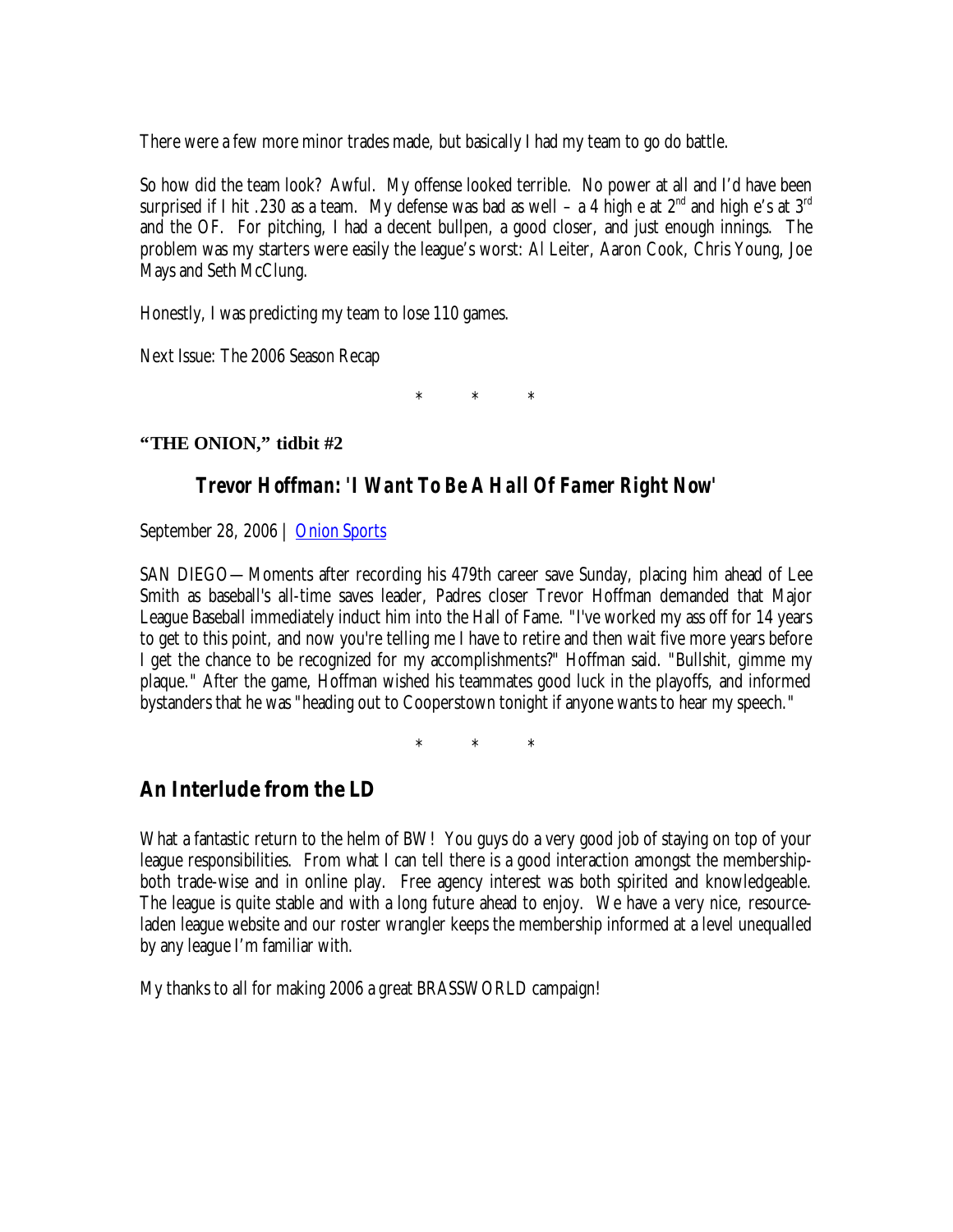There were a few more minor trades made, but basically I had my team to go do battle.

So how did the team look? Awful. My offense looked terrible. No power at all and I'd have been surprised if I hit .230 as a team. My defense was bad as well  $-a$  4 high e at  $2^{nd}$  and high e's at  $3^{rd}$ and the OF. For pitching, I had a decent bullpen, a good closer, and just enough innings. The problem was my starters were easily the league's worst: Al Leiter, Aaron Cook, Chris Young, Joe Mays and Seth McClung.

Honestly, I was predicting my team to lose 110 games.

Next Issue: The 2006 Season Recap

\* \* \*

**"THE ONION," tidbit #2**

#### *Trevor Hoffman: 'I Want To Be A Hall Of Famer Right Now'*

September 28, 2006 | Onion Sports

SAN DIEGO— Moments after recording his 479th career save Sunday, placing him ahead of Lee Smith as baseball's all-time saves leader, Padres closer Trevor Hoffman demanded that Major League Baseball immediately induct him into the Hall of Fame. "I've worked my ass off for 14 years to get to this point, and now you're telling me I have to retire and then wait five more years before I get the chance to be recognized for my accomplishments?" Hoffman said. "Bullshit, gimme my plaque." After the game, Hoffman wished his teammates good luck in the playoffs, and informed bystanders that he was "heading out to Cooperstown tonight if anyone wants to hear my speech."

\* \* \*

# **An Interlude from the LD**

What a fantastic return to the helm of BW! You guys do a very good job of staying on top of your league responsibilities. From what I can tell there is a good interaction amongst the membershipboth trade-wise and in online play. Free agency interest was both spirited and knowledgeable. The league is quite stable and with a long future ahead to enjoy. We have a very nice, resourceladen league website and our roster wrangler keeps the membership informed at a level unequalled by any league I'm familiar with.

My thanks to all for making 2006 a great BRASSWORLD campaign!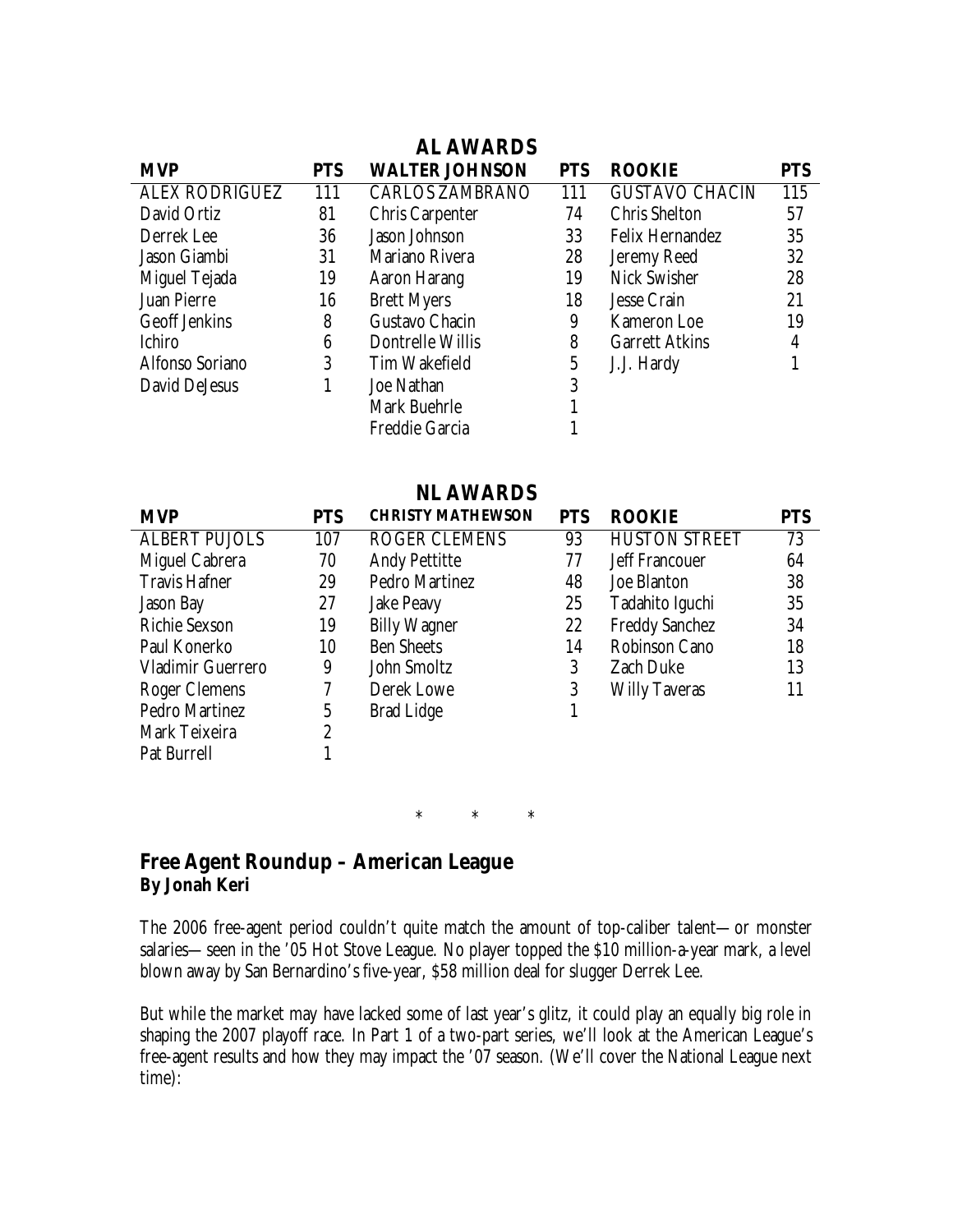| <b>PTS</b> |
|------------|
|            |
| 115        |
| 57         |
| 35         |
| 32         |
| 28         |
| 21         |
| 19         |
| 4          |
|            |
|            |
|            |
|            |
|            |

|                       |            | <b>NL AWARDS</b>         |            |                       |            |
|-----------------------|------------|--------------------------|------------|-----------------------|------------|
| <b>MVP</b>            | <b>PTS</b> | <b>CHRISTY MATHEWSON</b> | <b>PTS</b> | <b>ROOKIE</b>         | <b>PTS</b> |
| <b>ALBERT PUJOLS</b>  | 107        | <b>ROGER CLEMENS</b>     | 93         | <b>HUSTON STREET</b>  | 73         |
| Miguel Cabrera        | 70         | <b>Andy Pettitte</b>     | 77         | <b>Jeff Francouer</b> | 64         |
| <b>Travis Hafner</b>  | 29         | Pedro Martinez           | 48         | Joe Blanton           | 38         |
| <b>Jason Bay</b>      | 27         | <b>Jake Peavy</b>        | 25         | Tadahito Iguchi       | 35         |
| <b>Richie Sexson</b>  | 19         | <b>Billy Wagner</b>      | 22         | <b>Freddy Sanchez</b> | 34         |
| Paul Konerko          | 10         | <b>Ben Sheets</b>        | 14         | <b>Robinson Cano</b>  | 18         |
| Vladimir Guerrero     | 9          | John Smoltz              | 3          | <b>Zach Duke</b>      | 13         |
| Roger Clemens         |            | Derek Lowe               | 3          | <b>Willy Taveras</b>  | 11         |
| <b>Pedro Martinez</b> | 5          | <b>Brad Lidge</b>        |            |                       |            |
| Mark Teixeira         | 2          |                          |            |                       |            |
| Pat Burrell           |            |                          |            |                       |            |

\* \* \*

#### **Free Agent Roundup – American League By Jonah Keri**

The 2006 free-agent period couldn't quite match the amount of top-caliber talent— or monster salaries— seen in the '05 Hot Stove League. No player topped the \$10 million-a-year mark, a level blown away by San Bernardino's five-year, \$58 million deal for slugger Derrek Lee.

But while the market may have lacked some of last year's glitz, it could play an equally big role in shaping the 2007 playoff race. In Part 1 of a two-part series, we'll look at the American League's free-agent results and how they may impact the '07 season. (We'll cover the National League next time):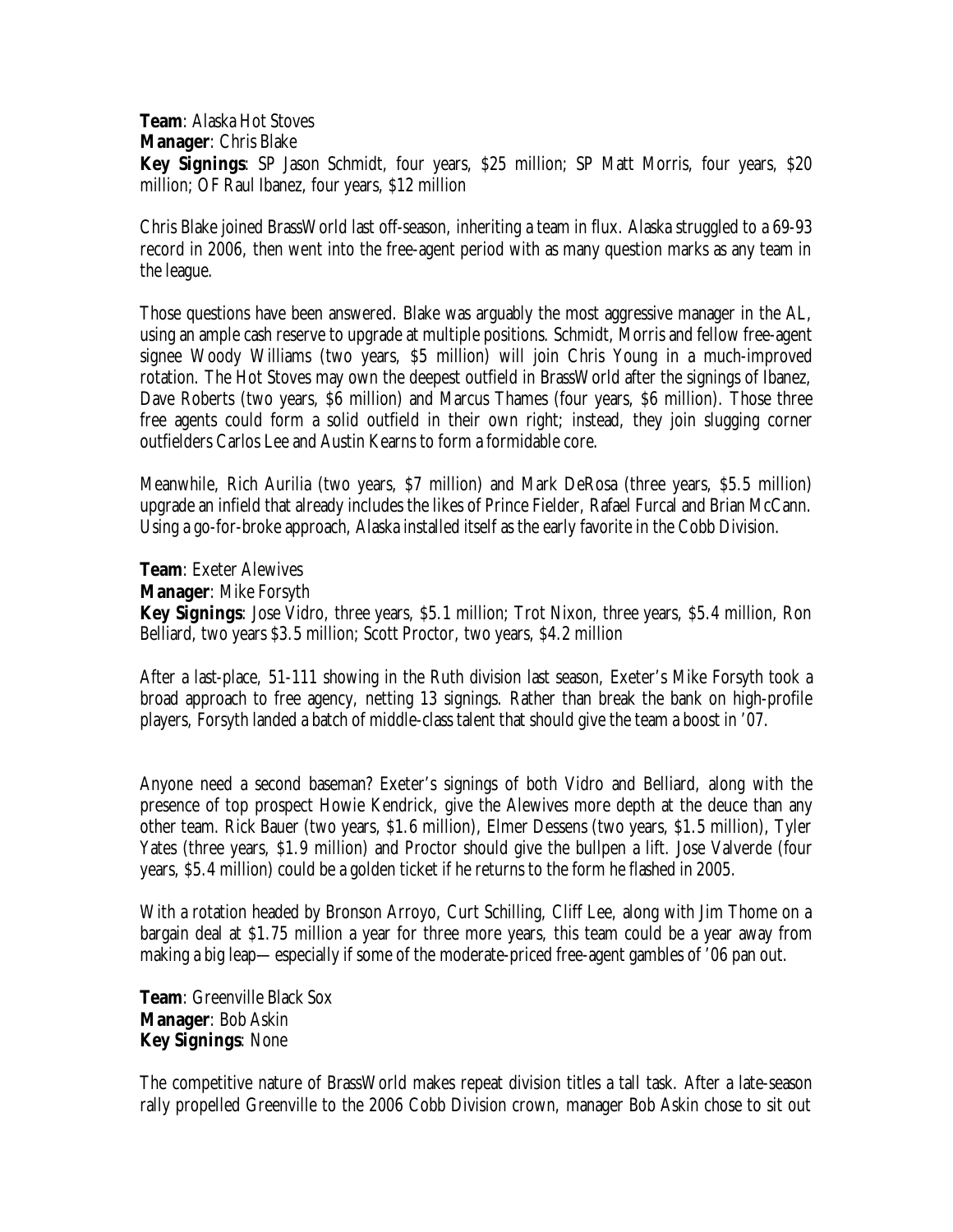**Team**: Alaska Hot Stoves

**Manager**: Chris Blake

**Key Signings**: SP Jason Schmidt, four years, \$25 million; SP Matt Morris, four years, \$20 million; OF Raul Ibanez, four years, \$12 million

Chris Blake joined BrassWorld last off-season, inheriting a team in flux. Alaska struggled to a 69-93 record in 2006, then went into the free-agent period with as many question marks as any team in the league.

Those questions have been answered. Blake was arguably the most aggressive manager in the AL, using an ample cash reserve to upgrade at multiple positions. Schmidt, Morris and fellow free-agent signee Woody Williams (two years, \$5 million) will join Chris Young in a much-improved rotation. The Hot Stoves may own the deepest outfield in BrassWorld after the signings of Ibanez, Dave Roberts (two years, \$6 million) and Marcus Thames (four years, \$6 million). Those three free agents could form a solid outfield in their own right; instead, they join slugging corner outfielders Carlos Lee and Austin Kearns to form a formidable core.

Meanwhile, Rich Aurilia (two years, \$7 million) and Mark DeRosa (three years, \$5.5 million) upgrade an infield that already includes the likes of Prince Fielder, Rafael Furcal and Brian McCann. Using a go-for-broke approach, Alaska installed itself as the early favorite in the Cobb Division.

**Team**: Exeter Alewives

**Manager**: Mike Forsyth

**Key Signings**: Jose Vidro, three years, \$5.1 million; Trot Nixon, three years, \$5.4 million, Ron Belliard, two years \$3.5 million; Scott Proctor, two years, \$4.2 million

After a last-place, 51-111 showing in the Ruth division last season, Exeter's Mike Forsyth took a broad approach to free agency, netting 13 signings. Rather than break the bank on high-profile players, Forsyth landed a batch of middle-class talent that should give the team a boost in '07.

Anyone need a second baseman? Exeter's signings of both Vidro and Belliard, along with the presence of top prospect Howie Kendrick, give the Alewives more depth at the deuce than any other team. Rick Bauer (two years, \$1.6 million), Elmer Dessens (two years, \$1.5 million), Tyler Yates (three years, \$1.9 million) and Proctor should give the bullpen a lift. Jose Valverde (four years, \$5.4 million) could be a golden ticket if he returns to the form he flashed in 2005.

With a rotation headed by Bronson Arroyo, Curt Schilling, Cliff Lee, along with Jim Thome on a bargain deal at \$1.75 million a year for three more years, this team could be a year away from making a big leap— especially if some of the moderate-priced free-agent gambles of '06 pan out.

**Team**: Greenville Black Sox **Manager**: Bob Askin **Key Signings**: None

The competitive nature of BrassWorld makes repeat division titles a tall task. After a late-season rally propelled Greenville to the 2006 Cobb Division crown, manager Bob Askin chose to sit out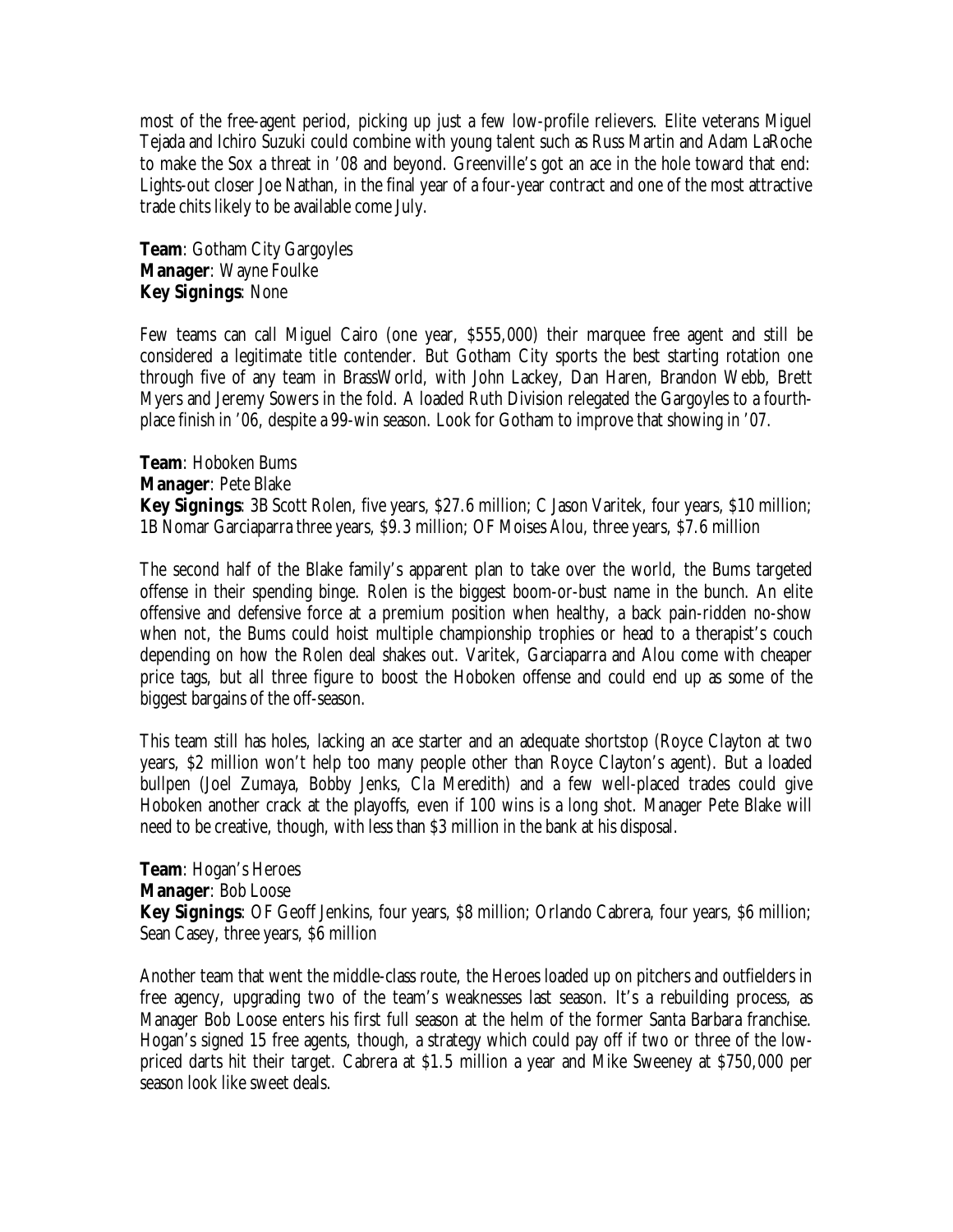most of the free-agent period, picking up just a few low-profile relievers. Elite veterans Miguel Tejada and Ichiro Suzuki could combine with young talent such as Russ Martin and Adam LaRoche to make the Sox a threat in '08 and beyond. Greenville's got an ace in the hole toward that end: Lights-out closer Joe Nathan, in the final year of a four-year contract and one of the most attractive trade chits likely to be available come July.

**Team**: Gotham City Gargoyles **Manager**: Wayne Foulke **Key Signings**: None

Few teams can call Miguel Cairo (one year, \$555,000) their marquee free agent and still be considered a legitimate title contender. But Gotham City sports the best starting rotation one through five of any team in BrassWorld, with John Lackey, Dan Haren, Brandon Webb, Brett Myers and Jeremy Sowers in the fold. A loaded Ruth Division relegated the Gargoyles to a fourthplace finish in '06, despite a 99-win season. Look for Gotham to improve that showing in '07.

**Team**: Hoboken Bums **Manager**: Pete Blake **Key Signings**: 3B Scott Rolen, five years, \$27.6 million; C Jason Varitek, four years, \$10 million; 1B Nomar Garciaparra three years, \$9.3 million; OF Moises Alou, three years, \$7.6 million

The second half of the Blake family's apparent plan to take over the world, the Bums targeted offense in their spending binge. Rolen is the biggest boom-or-bust name in the bunch. An elite offensive and defensive force at a premium position when healthy, a back pain-ridden no-show when not, the Bums could hoist multiple championship trophies or head to a therapist's couch depending on how the Rolen deal shakes out. Varitek, Garciaparra and Alou come with cheaper price tags, but all three figure to boost the Hoboken offense and could end up as some of the biggest bargains of the off-season.

This team still has holes, lacking an ace starter and an adequate shortstop (Royce Clayton at two years, \$2 million won't help too many people other than Royce Clayton's agent). But a loaded bullpen (Joel Zumaya, Bobby Jenks, Cla Meredith) and a few well-placed trades could give Hoboken another crack at the playoffs, even if 100 wins is a long shot. Manager Pete Blake will need to be creative, though, with less than \$3 million in the bank at his disposal.

**Team**: Hogan's Heroes **Manager**: Bob Loose **Key Signings:** OF Geoff Jenkins, four years, \$8 million; Orlando Cabrera, four years, \$6 million; Sean Casey, three years, \$6 million

Another team that went the middle-class route, the Heroes loaded up on pitchers and outfielders in free agency, upgrading two of the team's weaknesses last season. It's a rebuilding process, as Manager Bob Loose enters his first full season at the helm of the former Santa Barbara franchise. Hogan's signed 15 free agents, though, a strategy which could pay off if two or three of the lowpriced darts hit their target. Cabrera at \$1.5 million a year and Mike Sweeney at \$750,000 per season look like sweet deals.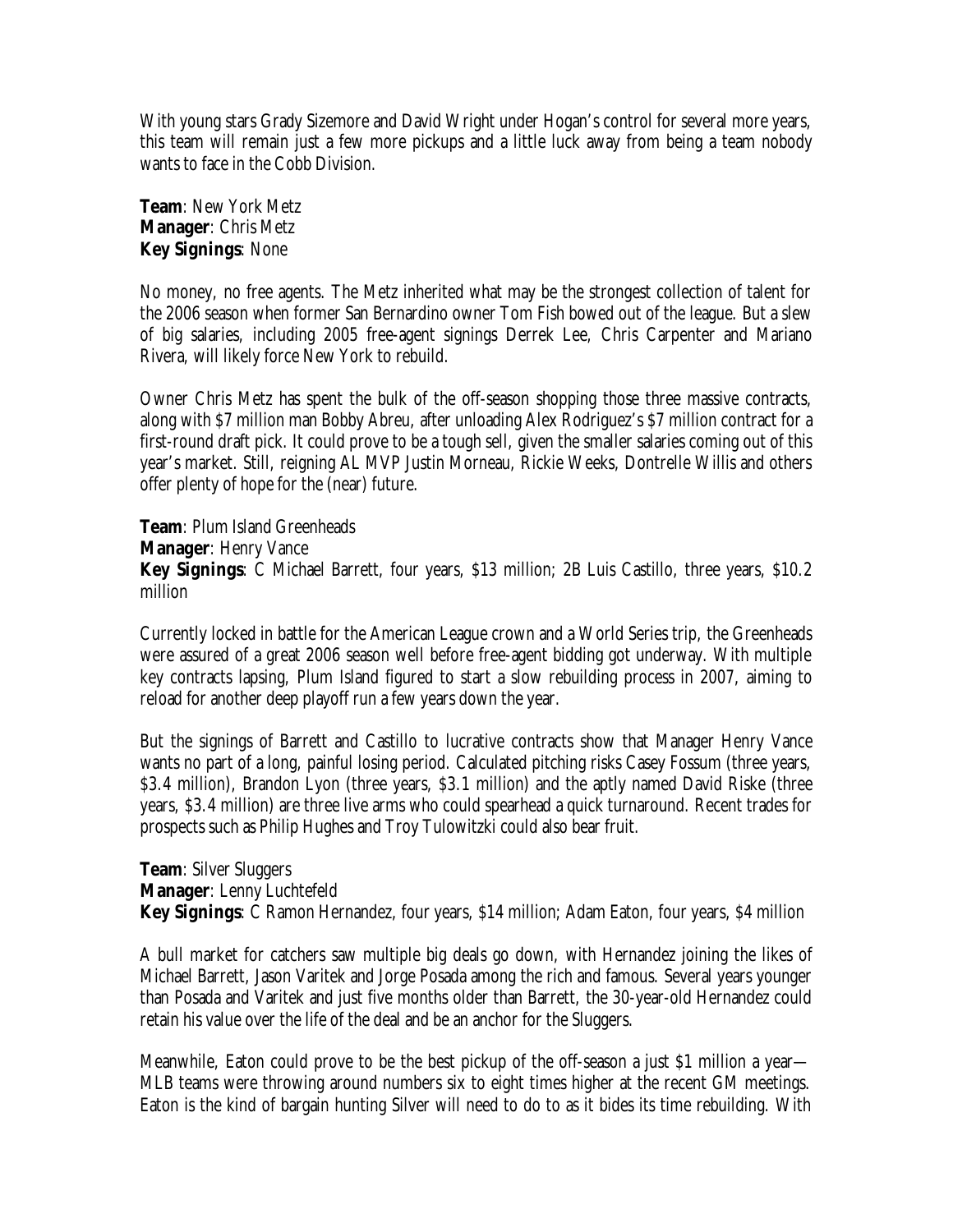With young stars Grady Sizemore and David Wright under Hogan's control for several more years, this team will remain just a few more pickups and a little luck away from being a team nobody wants to face in the Cobb Division.

**Team**: New York Metz **Manager**: Chris Metz **Key Signings**: None

No money, no free agents. The Metz inherited what may be the strongest collection of talent for the 2006 season when former San Bernardino owner Tom Fish bowed out of the league. But a slew of big salaries, including 2005 free-agent signings Derrek Lee, Chris Carpenter and Mariano Rivera, will likely force New York to rebuild.

Owner Chris Metz has spent the bulk of the off-season shopping those three massive contracts, along with \$7 million man Bobby Abreu, after unloading Alex Rodriguez's \$7 million contract for a first-round draft pick. It could prove to be a tough sell, given the smaller salaries coming out of this year's market. Still, reigning AL MVP Justin Morneau, Rickie Weeks, Dontrelle Willis and others offer plenty of hope for the (near) future.

**Team**: Plum Island Greenheads **Manager**: Henry Vance **Key Signings**: C Michael Barrett, four years, \$13 million; 2B Luis Castillo, three years, \$10.2 million

Currently locked in battle for the American League crown and a World Series trip, the Greenheads were assured of a great 2006 season well before free-agent bidding got underway. With multiple key contracts lapsing, Plum Island figured to start a slow rebuilding process in 2007, aiming to reload for another deep playoff run a few years down the year.

But the signings of Barrett and Castillo to lucrative contracts show that Manager Henry Vance wants no part of a long, painful losing period. Calculated pitching risks Casey Fossum (three years, \$3.4 million), Brandon Lyon (three years, \$3.1 million) and the aptly named David Riske (three years, \$3.4 million) are three live arms who could spearhead a quick turnaround. Recent trades for prospects such as Philip Hughes and Troy Tulowitzki could also bear fruit.

**Team**: Silver Sluggers **Manager**: Lenny Luchtefeld **Key Signings**: C Ramon Hernandez, four years, \$14 million; Adam Eaton, four years, \$4 million

A bull market for catchers saw multiple big deals go down, with Hernandez joining the likes of Michael Barrett, Jason Varitek and Jorge Posada among the rich and famous. Several years younger than Posada and Varitek and just five months older than Barrett, the 30-year-old Hernandez could retain his value over the life of the deal and be an anchor for the Sluggers.

Meanwhile, Eaton could prove to be the best pickup of the off-season a just \$1 million a year— MLB teams were throwing around numbers six to eight times higher at the recent GM meetings. Eaton is the kind of bargain hunting Silver will need to do to as it bides its time rebuilding. With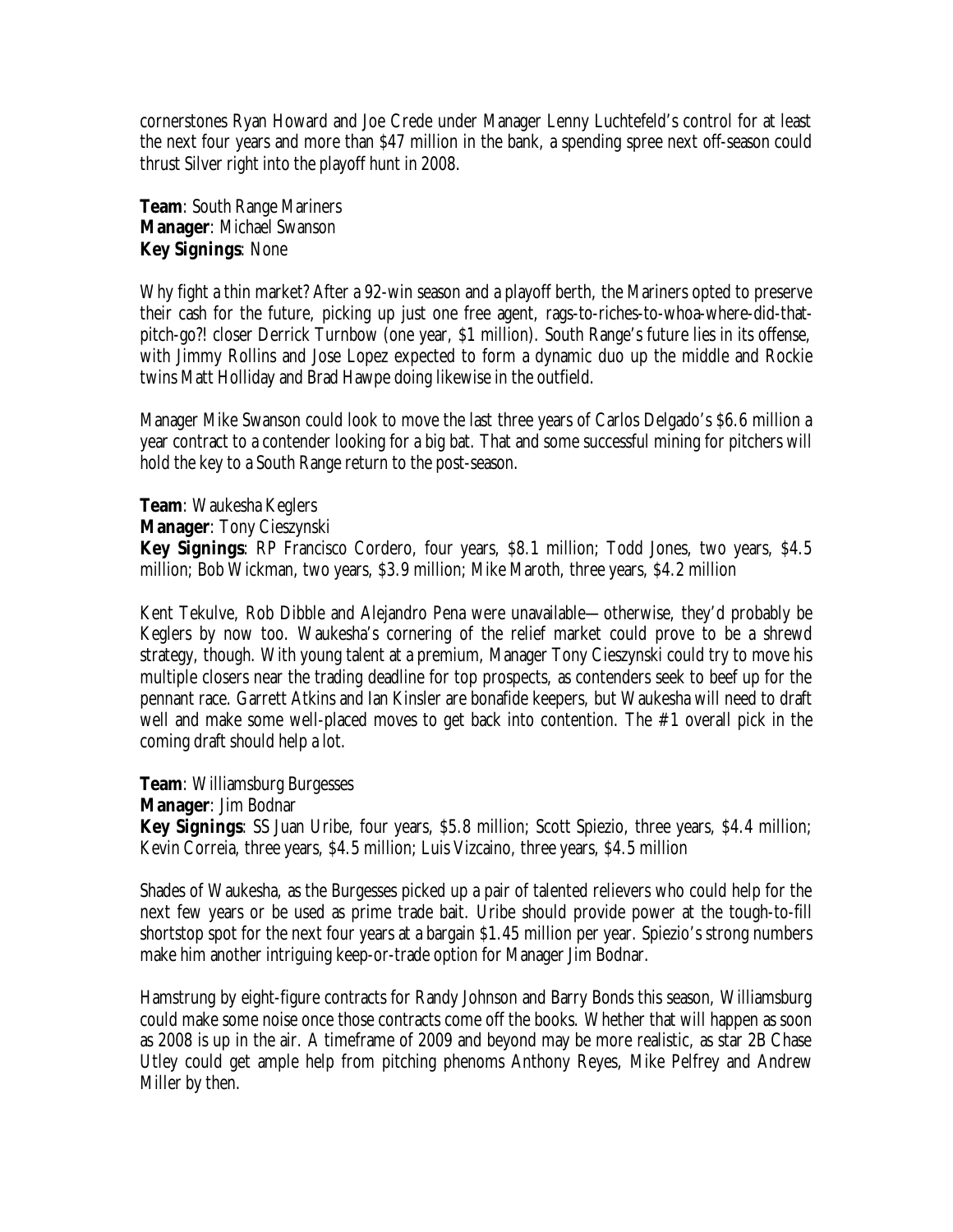cornerstones Ryan Howard and Joe Crede under Manager Lenny Luchtefeld's control for at least the next four years and more than \$47 million in the bank, a spending spree next off-season could thrust Silver right into the playoff hunt in 2008.

**Team**: South Range Mariners **Manager**: Michael Swanson **Key Signings**: None

Why fight a thin market? After a 92-win season and a playoff berth, the Mariners opted to preserve their cash for the future, picking up just one free agent, rags-to-riches-to-whoa-where-did-thatpitch-go?! closer Derrick Turnbow (one year, \$1 million). South Range's future lies in its offense, with Jimmy Rollins and Jose Lopez expected to form a dynamic duo up the middle and Rockie twins Matt Holliday and Brad Hawpe doing likewise in the outfield.

Manager Mike Swanson could look to move the last three years of Carlos Delgado's \$6.6 million a year contract to a contender looking for a big bat. That and some successful mining for pitchers will hold the key to a South Range return to the post-season.

**Team**: Waukesha Keglers

**Manager**: Tony Cieszynski

**Key Signings**: RP Francisco Cordero, four years, \$8.1 million; Todd Jones, two years, \$4.5 million; Bob Wickman, two years, \$3.9 million; Mike Maroth, three years, \$4.2 million

Kent Tekulve, Rob Dibble and Alejandro Pena were unavailable— otherwise, they'd probably be Keglers by now too. Waukesha's cornering of the relief market could prove to be a shrewd strategy, though. With young talent at a premium, Manager Tony Cieszynski could try to move his multiple closers near the trading deadline for top prospects, as contenders seek to beef up for the pennant race. Garrett Atkins and Ian Kinsler are bonafide keepers, but Waukesha will need to draft well and make some well-placed moves to get back into contention. The #1 overall pick in the coming draft should help a lot.

**Team**: Williamsburg Burgesses

**Manager**: Jim Bodnar

**Key Signings**: SS Juan Uribe, four years, \$5.8 million; Scott Spiezio, three years, \$4.4 million; Kevin Correia, three years, \$4.5 million; Luis Vizcaino, three years, \$4.5 million

Shades of Waukesha, as the Burgesses picked up a pair of talented relievers who could help for the next few years or be used as prime trade bait. Uribe should provide power at the tough-to-fill shortstop spot for the next four years at a bargain \$1.45 million per year. Spiezio's strong numbers make him another intriguing keep-or-trade option for Manager Jim Bodnar.

Hamstrung by eight-figure contracts for Randy Johnson and Barry Bonds this season, Williamsburg could make some noise once those contracts come off the books. Whether that will happen as soon as 2008 is up in the air. A timeframe of 2009 and beyond may be more realistic, as star 2B Chase Utley could get ample help from pitching phenoms Anthony Reyes, Mike Pelfrey and Andrew Miller by then.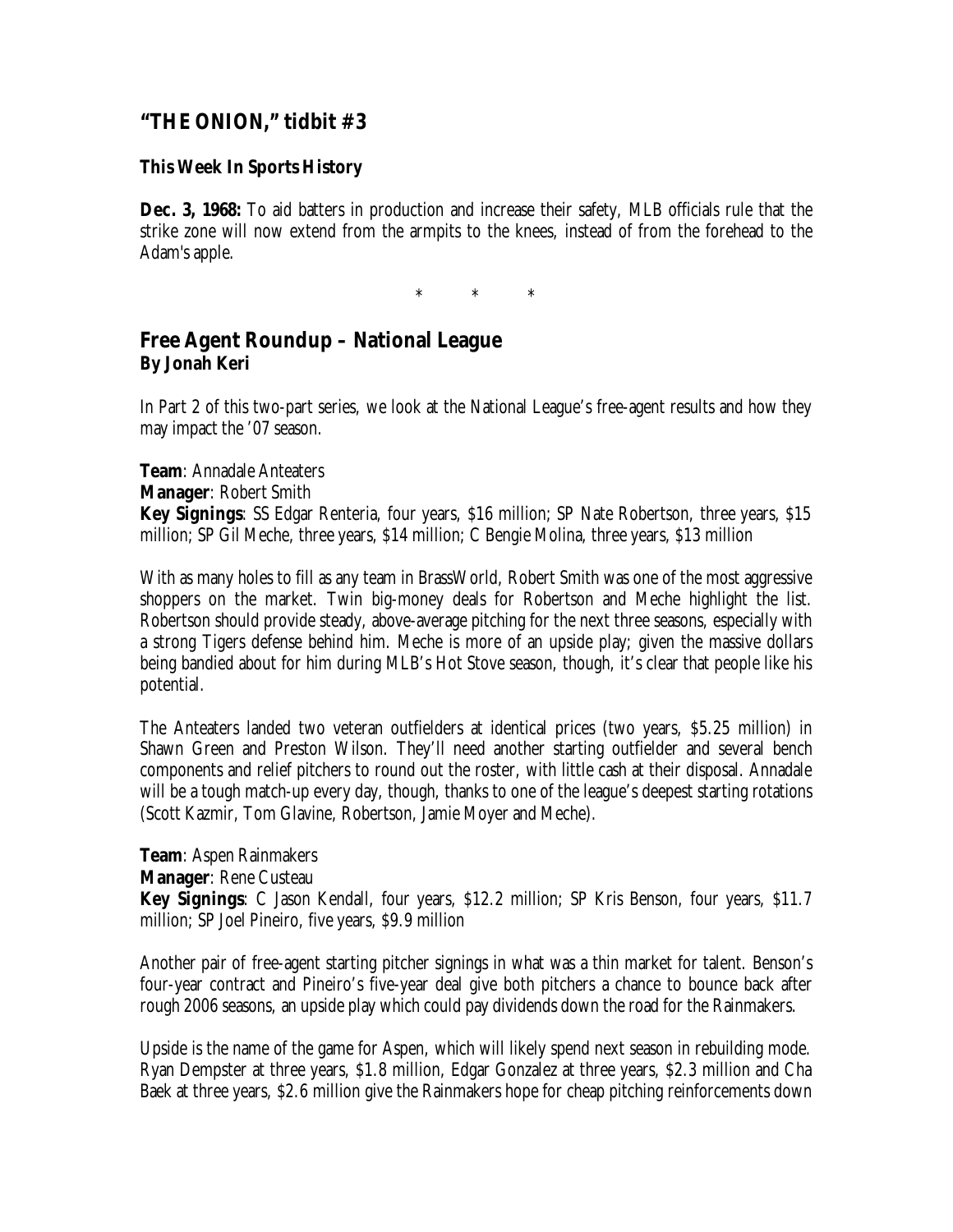# **"THE ONION," tidbit #3**

#### **This Week In Sports History**

**Dec. 3, 1968:** To aid batters in production and increase their safety, MLB officials rule that the strike zone will now extend from the armpits to the knees, instead of from the forehead to the Adam's apple.

\* \* \*

#### **Free Agent Roundup – National League By Jonah Keri**

In Part 2 of this two-part series, we look at the National League's free-agent results and how they may impact the '07 season.

**Team**: Annadale Anteaters **Manager**: Robert Smith **Key Signings**: SS Edgar Renteria, four years, \$16 million; SP Nate Robertson, three years, \$15 million; SP Gil Meche, three years, \$14 million; C Bengie Molina, three years, \$13 million

With as many holes to fill as any team in BrassWorld, Robert Smith was one of the most aggressive shoppers on the market. Twin big-money deals for Robertson and Meche highlight the list. Robertson should provide steady, above-average pitching for the next three seasons, especially with a strong Tigers defense behind him. Meche is more of an upside play; given the massive dollars being bandied about for him during MLB's Hot Stove season, though, it's clear that people like his potential.

The Anteaters landed two veteran outfielders at identical prices (two years, \$5.25 million) in Shawn Green and Preston Wilson. They'll need another starting outfielder and several bench components and relief pitchers to round out the roster, with little cash at their disposal. Annadale will be a tough match-up every day, though, thanks to one of the league's deepest starting rotations (Scott Kazmir, Tom Glavine, Robertson, Jamie Moyer and Meche).

**Team**: Aspen Rainmakers **Manager**: Rene Custeau **Key Signings**: C Jason Kendall, four years, \$12.2 million; SP Kris Benson, four years, \$11.7 million; SP Joel Pineiro, five years, \$9.9 million

Another pair of free-agent starting pitcher signings in what was a thin market for talent. Benson's four-year contract and Pineiro's five-year deal give both pitchers a chance to bounce back after rough 2006 seasons, an upside play which could pay dividends down the road for the Rainmakers.

Upside is the name of the game for Aspen, which will likely spend next season in rebuilding mode. Ryan Dempster at three years, \$1.8 million, Edgar Gonzalez at three years, \$2.3 million and Cha Baek at three years, \$2.6 million give the Rainmakers hope for cheap pitching reinforcements down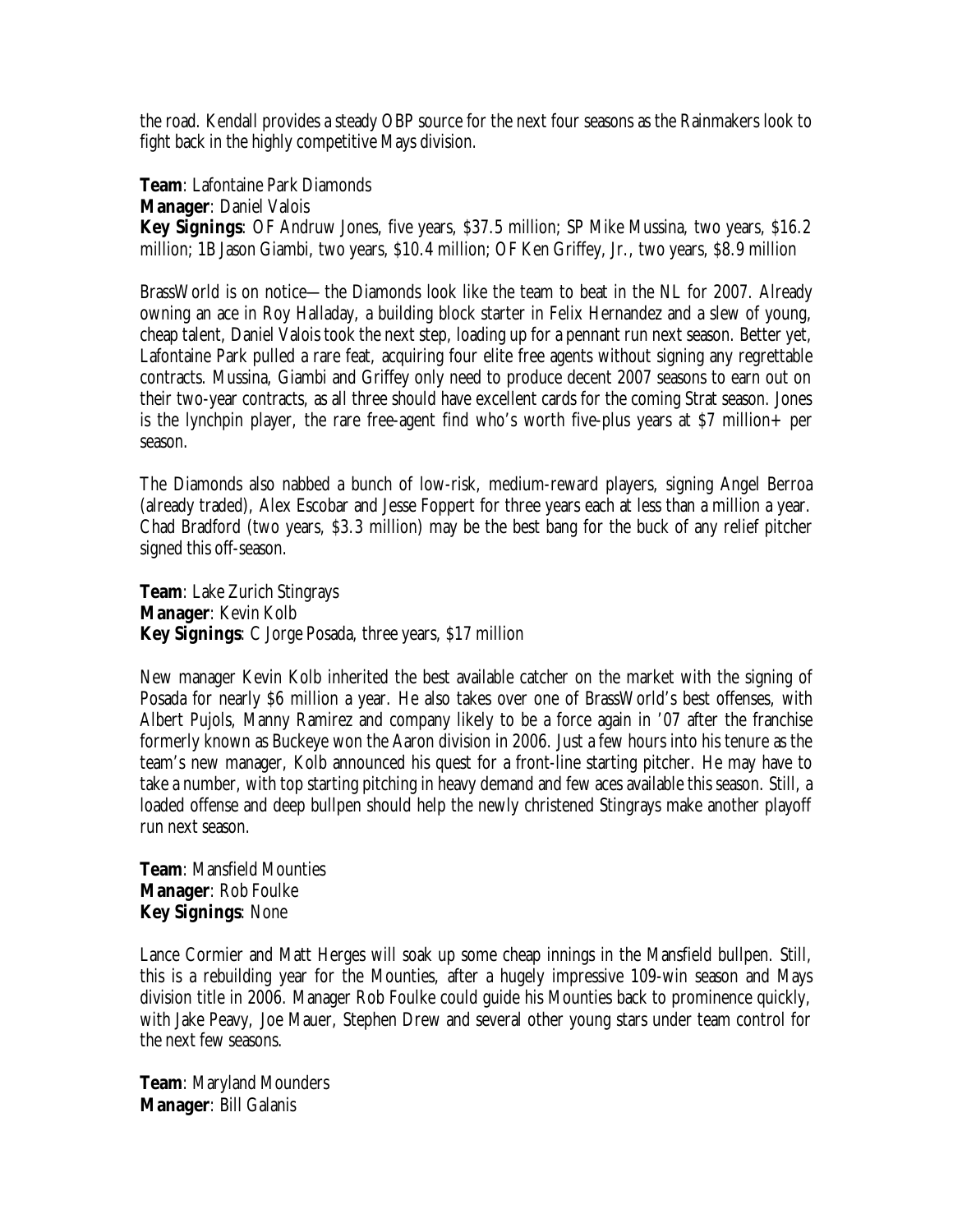the road. Kendall provides a steady OBP source for the next four seasons as the Rainmakers look to fight back in the highly competitive Mays division.

**Team**: Lafontaine Park Diamonds

**Manager**: Daniel Valois

**Key Signings**: OF Andruw Jones, five years, \$37.5 million; SP Mike Mussina, two years, \$16.2 million; 1B Jason Giambi, two years, \$10.4 million; OF Ken Griffey, Jr., two years, \$8.9 million

BrassWorld is on notice— the Diamonds look like the team to beat in the NL for 2007. Already owning an ace in Roy Halladay, a building block starter in Felix Hernandez and a slew of young, cheap talent, Daniel Valois took the next step, loading up for a pennant run next season. Better yet, Lafontaine Park pulled a rare feat, acquiring four elite free agents without signing any regrettable contracts. Mussina, Giambi and Griffey only need to produce decent 2007 seasons to earn out on their two-year contracts, as all three should have excellent cards for the coming Strat season. Jones is the lynchpin player, the rare free-agent find who's worth five-plus years at \$7 million+ per season.

The Diamonds also nabbed a bunch of low-risk, medium-reward players, signing Angel Berroa (already traded), Alex Escobar and Jesse Foppert for three years each at less than a million a year. Chad Bradford (two years, \$3.3 million) may be the best bang for the buck of any relief pitcher signed this off-season.

**Team**: Lake Zurich Stingrays **Manager**: Kevin Kolb **Key Signings**: C Jorge Posada, three years, \$17 million

New manager Kevin Kolb inherited the best available catcher on the market with the signing of Posada for nearly \$6 million a year. He also takes over one of BrassWorld's best offenses, with Albert Pujols, Manny Ramirez and company likely to be a force again in '07 after the franchise formerly known as Buckeye won the Aaron division in 2006. Just a few hours into his tenure as the team's new manager, Kolb announced his quest for a front-line starting pitcher. He may have to take a number, with top starting pitching in heavy demand and few aces available this season. Still, a loaded offense and deep bullpen should help the newly christened Stingrays make another playoff run next season.

**Team**: Mansfield Mounties **Manager**: Rob Foulke **Key Signings**: None

Lance Cormier and Matt Herges will soak up some cheap innings in the Mansfield bullpen. Still, this is a rebuilding year for the Mounties, after a hugely impressive 109-win season and Mays division title in 2006. Manager Rob Foulke could guide his Mounties back to prominence quickly, with Jake Peavy, Joe Mauer, Stephen Drew and several other young stars under team control for the next few seasons.

**Team**: Maryland Mounders **Manager**: Bill Galanis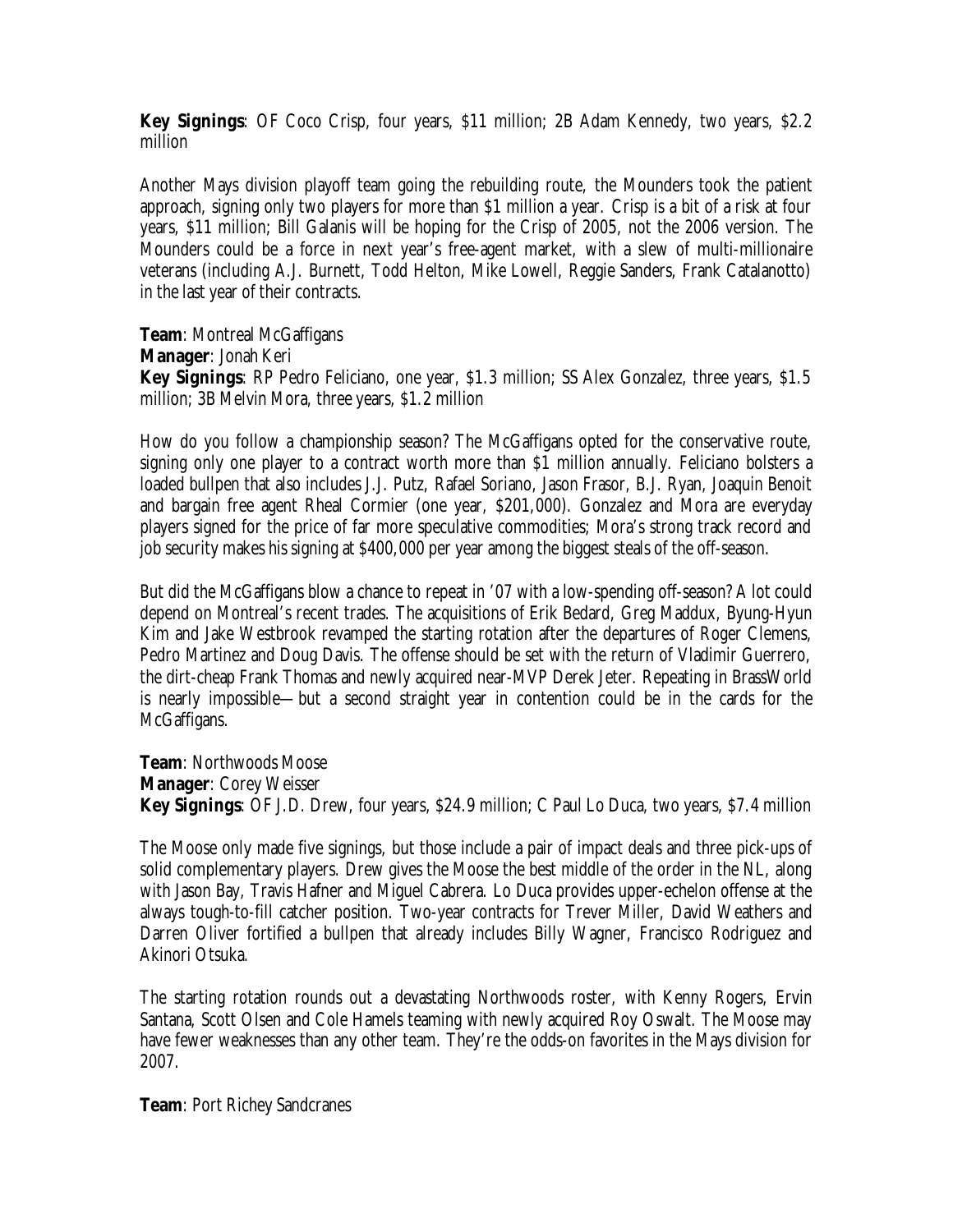**Key Signings**: OF Coco Crisp, four years, \$11 million; 2B Adam Kennedy, two years, \$2.2 million

Another Mays division playoff team going the rebuilding route, the Mounders took the patient approach, signing only two players for more than \$1 million a year. Crisp is a bit of a risk at four years, \$11 million; Bill Galanis will be hoping for the Crisp of 2005, not the 2006 version. The Mounders could be a force in next year's free-agent market, with a slew of multi-millionaire veterans (including A.J. Burnett, Todd Helton, Mike Lowell, Reggie Sanders, Frank Catalanotto) in the last year of their contracts.

**Team**: Montreal McGaffigans **Manager**: Jonah Keri **Key Signings**: RP Pedro Feliciano, one year, \$1.3 million; SS Alex Gonzalez, three years, \$1.5 million; 3B Melvin Mora, three years, \$1.2 million

How do you follow a championship season? The McGaffigans opted for the conservative route, signing only one player to a contract worth more than \$1 million annually. Feliciano bolsters a loaded bullpen that also includes J.J. Putz, Rafael Soriano, Jason Frasor, B.J. Ryan, Joaquin Benoit and bargain free agent Rheal Cormier (one year, \$201,000). Gonzalez and Mora are everyday players signed for the price of far more speculative commodities; Mora's strong track record and job security makes his signing at \$400,000 per year among the biggest steals of the off-season.

But did the McGaffigans blow a chance to repeat in '07 with a low-spending off-season? A lot could depend on Montreal's recent trades. The acquisitions of Erik Bedard, Greg Maddux, Byung-Hyun Kim and Jake Westbrook revamped the starting rotation after the departures of Roger Clemens, Pedro Martinez and Doug Davis. The offense should be set with the return of Vladimir Guerrero, the dirt-cheap Frank Thomas and newly acquired near-MVP Derek Jeter. Repeating in BrassWorld is nearly impossible— but a second straight year in contention could be in the cards for the McGaffigans.

**Team**: Northwoods Moose **Manager**: Corey Weisser **Key Signings**: OF J.D. Drew, four years, \$24.9 million; C Paul Lo Duca, two years, \$7.4 million

The Moose only made five signings, but those include a pair of impact deals and three pick-ups of solid complementary players. Drew gives the Moose the best middle of the order in the NL, along with Jason Bay, Travis Hafner and Miguel Cabrera. Lo Duca provides upper-echelon offense at the always tough-to-fill catcher position. Two-year contracts for Trever Miller, David Weathers and Darren Oliver fortified a bullpen that already includes Billy Wagner, Francisco Rodriguez and Akinori Otsuka.

The starting rotation rounds out a devastating Northwoods roster, with Kenny Rogers, Ervin Santana, Scott Olsen and Cole Hamels teaming with newly acquired Roy Oswalt. The Moose may have fewer weaknesses than any other team. They're the odds-on favorites in the Mays division for 2007.

**Team**: Port Richey Sandcranes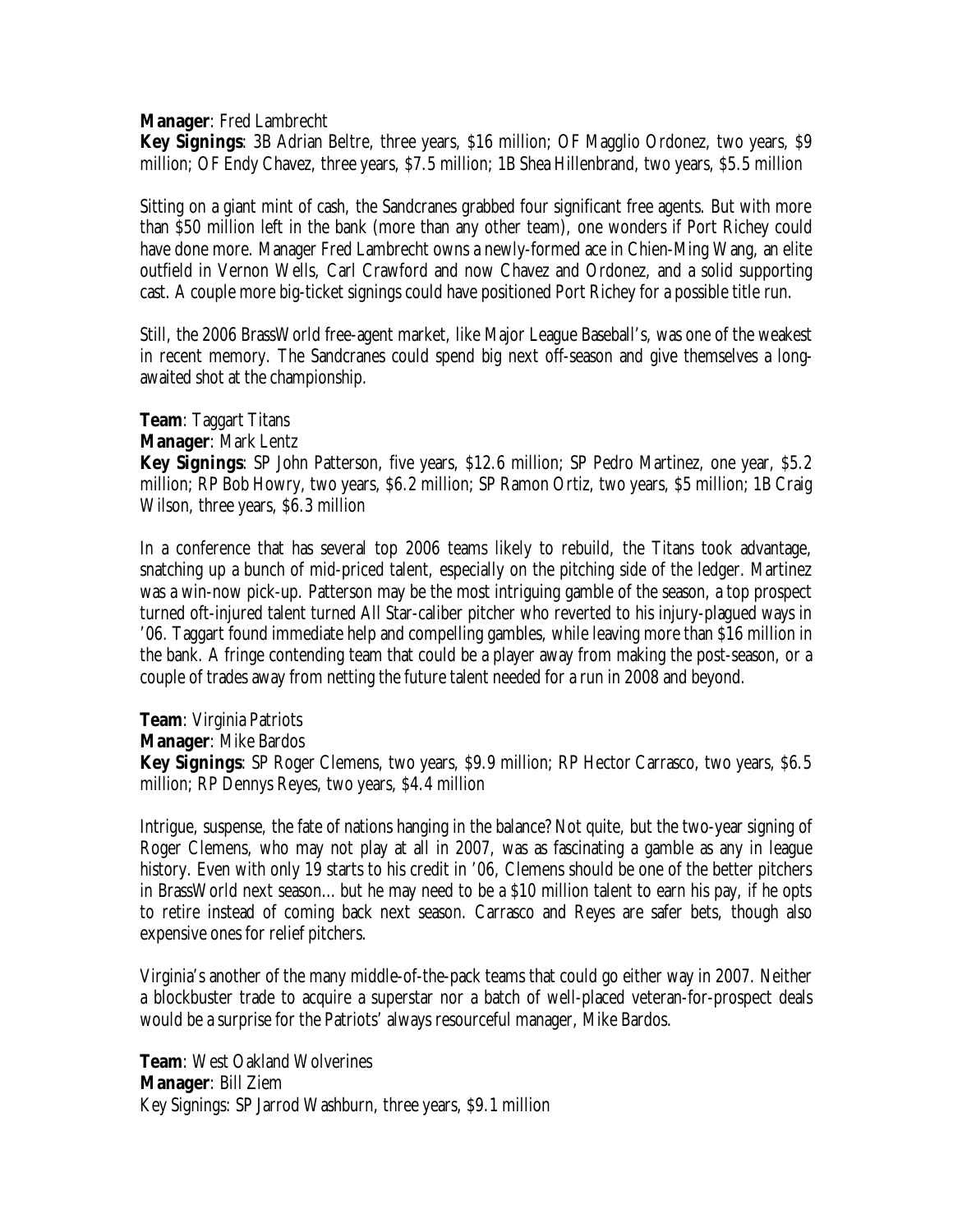**Manager**: Fred Lambrecht

**Key Signings**: 3B Adrian Beltre, three years, \$16 million; OF Magglio Ordonez, two years, \$9 million; OF Endy Chavez, three years, \$7.5 million; 1B Shea Hillenbrand, two years, \$5.5 million

Sitting on a giant mint of cash, the Sandcranes grabbed four significant free agents. But with more than \$50 million left in the bank (more than any other team), one wonders if Port Richey could have done more. Manager Fred Lambrecht owns a newly-formed ace in Chien-Ming Wang, an elite outfield in Vernon Wells, Carl Crawford and now Chavez and Ordonez, and a solid supporting cast. A couple more big-ticket signings could have positioned Port Richey for a possible title run.

Still, the 2006 BrassWorld free-agent market, like Major League Baseball's, was one of the weakest in recent memory. The Sandcranes could spend big next off-season and give themselves a longawaited shot at the championship.

**Team**: Taggart Titans **Manager**: Mark Lentz **Key Signings**: SP John Patterson, five years, \$12.6 million; SP Pedro Martinez, one year, \$5.2 million; RP Bob Howry, two years, \$6.2 million; SP Ramon Ortiz, two years, \$5 million; 1B Craig Wilson, three years, \$6.3 million

In a conference that has several top 2006 teams likely to rebuild, the Titans took advantage, snatching up a bunch of mid-priced talent, especially on the pitching side of the ledger. Martinez was a win-now pick-up. Patterson may be the most intriguing gamble of the season, a top prospect turned oft-injured talent turned All Star-caliber pitcher who reverted to his injury-plagued ways in '06. Taggart found immediate help and compelling gambles, while leaving more than \$16 million in the bank. A fringe contending team that could be a player away from making the post-season, or a couple of trades away from netting the future talent needed for a run in 2008 and beyond.

**Team**: Virginia Patriots **Manager**: Mike Bardos **Key Signings**: SP Roger Clemens, two years, \$9.9 million; RP Hector Carrasco, two years, \$6.5 million; RP Dennys Reyes, two years, \$4.4 million

Intrigue, suspense, the fate of nations hanging in the balance? Not quite, but the two-year signing of Roger Clemens, who may not play at all in 2007, was as fascinating a gamble as any in league history. Even with only 19 starts to his credit in '06, Clemens should be one of the better pitchers in BrassWorld next season… but he may need to be a \$10 million talent to earn his pay, if he opts to retire instead of coming back next season. Carrasco and Reyes are safer bets, though also expensive ones for relief pitchers.

Virginia's another of the many middle-of-the-pack teams that could go either way in 2007. Neither a blockbuster trade to acquire a superstar nor a batch of well-placed veteran-for-prospect deals would be a surprise for the Patriots' always resourceful manager, Mike Bardos.

**Team**: West Oakland Wolverines **Manager**: Bill Ziem Key Signings: SP Jarrod Washburn, three years, \$9.1 million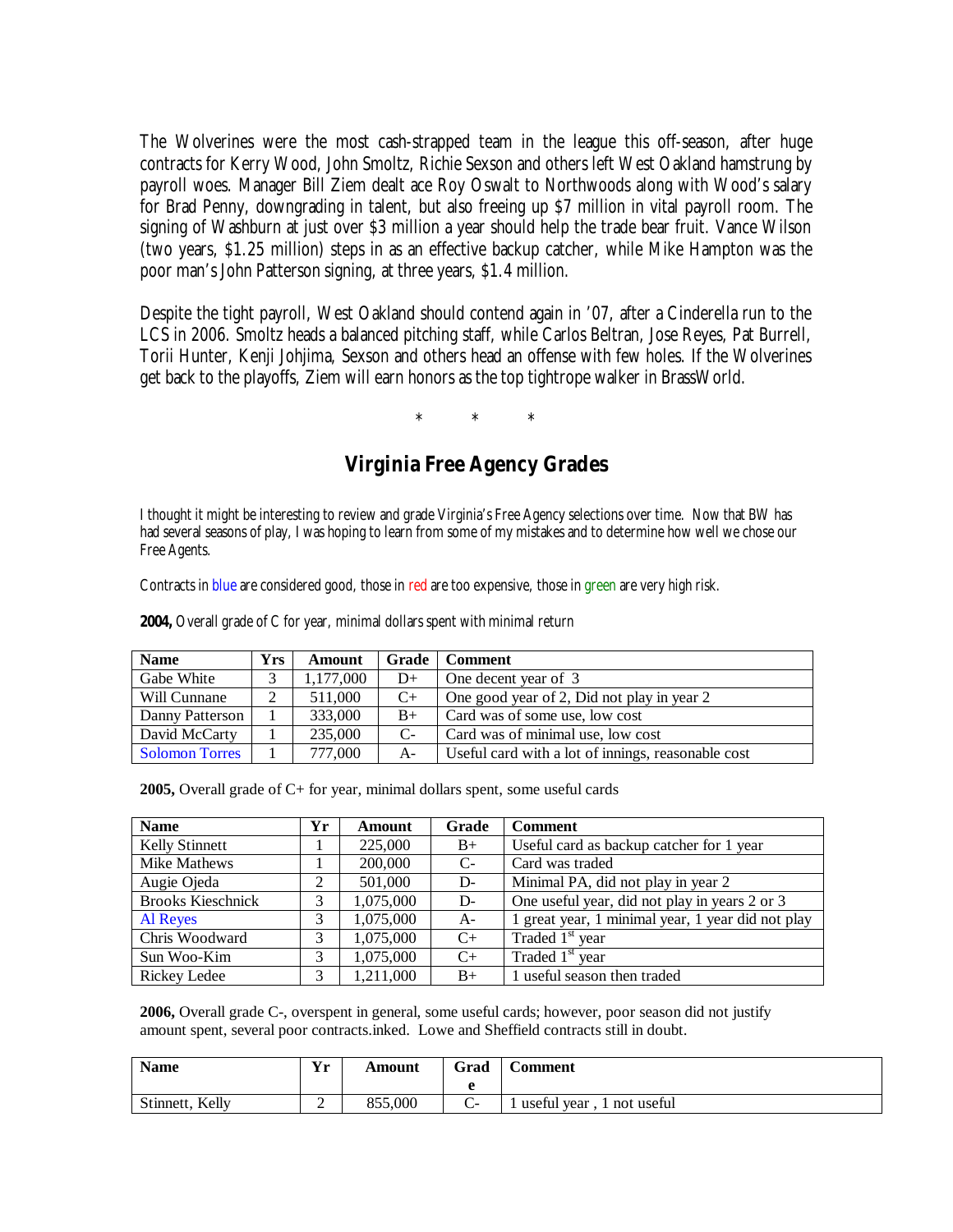The Wolverines were the most cash-strapped team in the league this off-season, after huge contracts for Kerry Wood, John Smoltz, Richie Sexson and others left West Oakland hamstrung by payroll woes. Manager Bill Ziem dealt ace Roy Oswalt to Northwoods along with Wood's salary for Brad Penny, downgrading in talent, but also freeing up \$7 million in vital payroll room. The signing of Washburn at just over \$3 million a year should help the trade bear fruit. Vance Wilson (two years, \$1.25 million) steps in as an effective backup catcher, while Mike Hampton was the poor man's John Patterson signing, at three years, \$1.4 million.

Despite the tight payroll, West Oakland should contend again in '07, after a Cinderella run to the LCS in 2006. Smoltz heads a balanced pitching staff, while Carlos Beltran, Jose Reyes, Pat Burrell, Torii Hunter, Kenji Johjima, Sexson and others head an offense with few holes. If the Wolverines get back to the playoffs, Ziem will earn honors as the top tightrope walker in BrassWorld.

\* \* \*

## **Virginia Free Agency Grades**

I thought it might be interesting to review and grade Virginia's Free Agency selections over time. Now that BW has had several seasons of play, I was hoping to learn from some of my mistakes and to determine how well we chose our Free Agents.

Contracts in blue are considered good, those in red are too expensive, those in green are very high risk.

| <b>Name</b>     | <b>Yrs</b> | <b>Amount</b> |       | Grade   Comment                                    |
|-----------------|------------|---------------|-------|----------------------------------------------------|
| Gabe White      |            | 1,177,000     | $D+$  | One decent year of 3                               |
| Will Cunnane    |            | 511,000       | $C+$  | One good year of 2, Did not play in year 2         |
| Danny Patterson |            | 333,000       | $B+$  | Card was of some use, low cost                     |
| David McCarty   |            | 235,000       | $C-$  | Card was of minimal use, low cost                  |
| Solomon Torres  |            | 777,000       | $A -$ | Useful card with a lot of innings, reasonable cost |

**2004,** Overall grade of C for year, minimal dollars spent with minimal return

**2005,** Overall grade of C+ for year, minimal dollars spent, some useful cards

| <b>Name</b>              | Yr | <b>Amount</b> | Grade | <b>Comment</b>                                    |
|--------------------------|----|---------------|-------|---------------------------------------------------|
| <b>Kelly Stinnett</b>    |    | 225,000       | $B+$  | Useful card as backup catcher for 1 year          |
| Mike Mathews             |    | 200,000       | $C-$  | Card was traded                                   |
| Augie Ojeda              | 2  | 501,000       | D-    | Minimal PA, did not play in year 2                |
| <b>Brooks Kieschnick</b> | 3  | 1,075,000     | D-    | One useful year, did not play in years 2 or 3     |
| Al Reves                 | 3  | 1,075,000     | $A -$ | 1 great year, 1 minimal year, 1 year did not play |
| Chris Woodward           | 3  | 1,075,000     | $C+$  | Traded 1 <sup>st</sup> year                       |
| Sun Woo-Kim              | 3  | 1,075,000     | $C+$  | Traded 1 <sup>st</sup> year                       |
| Rickey Ledee             | 3  | 1,211,000     | $B+$  | 1 useful season then traded                       |

**2006,** Overall grade C-, overspent in general, some useful cards; however, poor season did not justify amount spent, several poor contracts.inked. Lowe and Sheffield contracts still in doubt.

| <b>Name</b>        | $\mathbf{V}$ r<br>. . | Amount  | Grad             | Comment                      |
|--------------------|-----------------------|---------|------------------|------------------------------|
| Stinnett.<br>Kelly | -                     | 855,000 | -<br>$\check{~}$ | not useful<br>useful<br>vear |